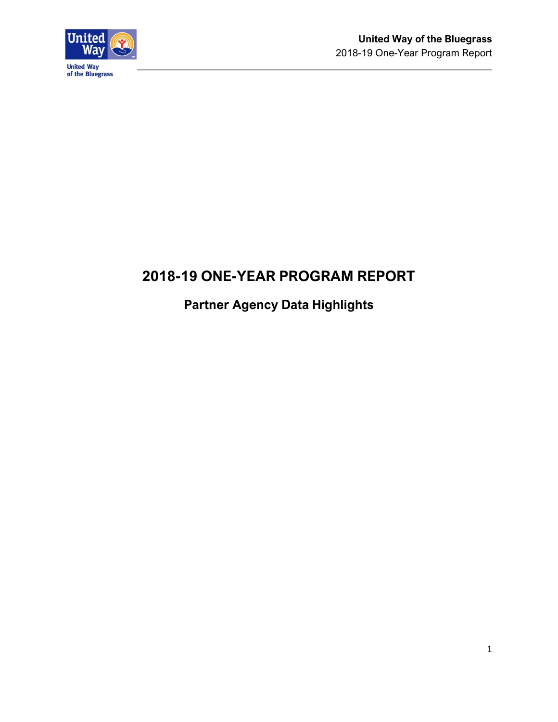

# **2018-19 ONE-YEAR PROGRAM REPORT**

# **Partner Agency Data Highlights**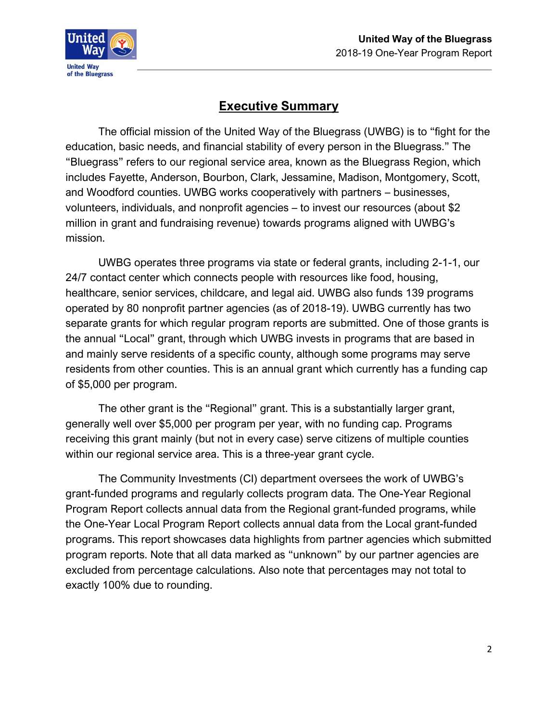

# **Executive Summary**

The official mission of the United Way of the Bluegrass (UWBG) is to "fight for the education, basic needs, and financial stability of every person in the Bluegrass." The "Bluegrass" refers to our regional service area, known as the Bluegrass Region, which includes Fayette, Anderson, Bourbon, Clark, Jessamine, Madison, Montgomery, Scott, and Woodford counties. UWBG works cooperatively with partners – businesses, volunteers, individuals, and nonprofit agencies – to invest our resources (about \$2 million in grant and fundraising revenue) towards programs aligned with UWBG's mission.

UWBG operates three programs via state or federal grants, including 2-1-1, our 24/7 contact center which connects people with resources like food, housing, healthcare, senior services, childcare, and legal aid. UWBG also funds 139 programs operated by 80 nonprofit partner agencies (as of 2018-19). UWBG currently has two separate grants for which regular program reports are submitted. One of those grants is the annual "Local" grant, through which UWBG invests in programs that are based in and mainly serve residents of a specific county, although some programs may serve residents from other counties. This is an annual grant which currently has a funding cap of \$5,000 per program.

The other grant is the "Regional" grant. This is a substantially larger grant, generally well over \$5,000 per program per year, with no funding cap. Programs receiving this grant mainly (but not in every case) serve citizens of multiple counties within our regional service area. This is a three-year grant cycle.

The Community Investments (CI) department oversees the work of UWBG's grant-funded programs and regularly collects program data. The One-Year Regional Program Report collects annual data from the Regional grant-funded programs, while the One-Year Local Program Report collects annual data from the Local grant-funded programs. This report showcases data highlights from partner agencies which submitted program reports. Note that all data marked as "unknown" by our partner agencies are excluded from percentage calculations. Also note that percentages may not total to exactly 100% due to rounding.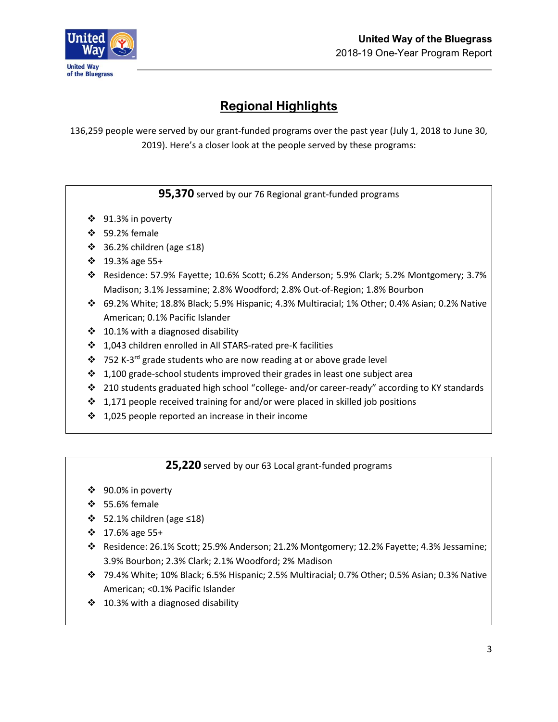

# **Regional Highlights**

136,259 people were served by our grant-funded programs over the past year (July 1, 2018 to June 30, 2019). Here's a closer look at the people served by these programs:

#### **95,370** served by our 76 Regional grant-funded programs

- ❖ 91.3% in poverty
- ❖ 59.2% female
- ❖ 36.2% children (age ≤18)
- ❖ 19.3% age 55+
- ❖ Residence: 57.9% Fayette; 10.6% Scott; 6.2% Anderson; 5.9% Clark; 5.2% Montgomery; 3.7% Madison; 3.1% Jessamine; 2.8% Woodford; 2.8% Out-of-Region; 1.8% Bourbon
- ❖ 69.2% White; 18.8% Black; 5.9% Hispanic; 4.3% Multiracial; 1% Other; 0.4% Asian; 0.2% Native American; 0.1% Pacific Islander
- $\div$  10.1% with a diagnosed disability
- ❖ 1,043 children enrolled in All STARS-rated pre-K facilities
- ❖ 752 K-3<sup>rd</sup> grade students who are now reading at or above grade level
- ❖ 1,100 grade-school students improved their grades in least one subject area
- ❖ 210 students graduated high school "college- and/or career-ready" according to KY standards
- ❖ 1,171 people received training for and/or were placed in skilled job positions
- $\div$  1,025 people reported an increase in their income

#### **25,220** served by our 63 Local grant-funded programs

- ❖ 90.0% in poverty
- ❖ 55.6% female
- ❖ 52.1% children (age ≤18)
- ❖ 17.6% age 55+
- ❖ Residence: 26.1% Scott; 25.9% Anderson; 21.2% Montgomery; 12.2% Fayette; 4.3% Jessamine; 3.9% Bourbon; 2.3% Clark; 2.1% Woodford; 2% Madison
- ❖ 79.4% White; 10% Black; 6.5% Hispanic; 2.5% Multiracial; 0.7% Other; 0.5% Asian; 0.3% Native American; <0.1% Pacific Islander
- ❖ 10.3% with a diagnosed disability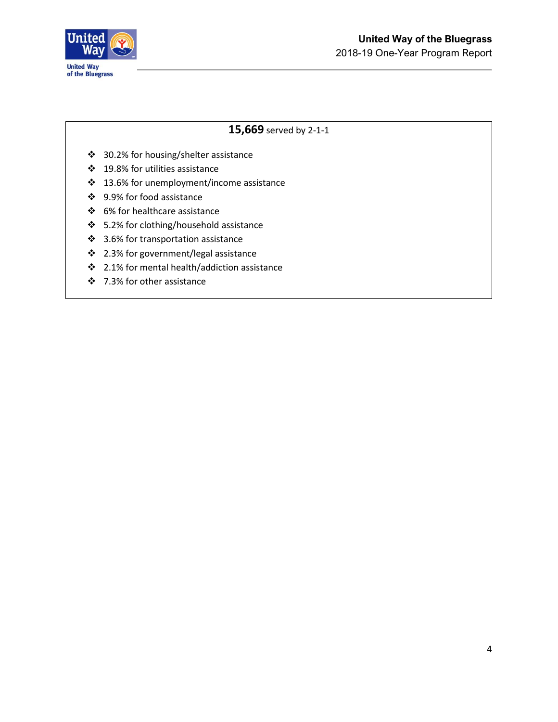

#### **15,669** served by 2-1-1

- ❖ 30.2% for housing/shelter assistance
- ❖ 19.8% for utilities assistance
- ❖ 13.6% for unemployment/income assistance
- ❖ 9.9% for food assistance
- ❖ 6% for healthcare assistance
- ❖ 5.2% for clothing/household assistance
- ❖ 3.6% for transportation assistance
- ❖ 2.3% for government/legal assistance
- ❖ 2.1% for mental health/addiction assistance
- ❖ 7.3% for other assistance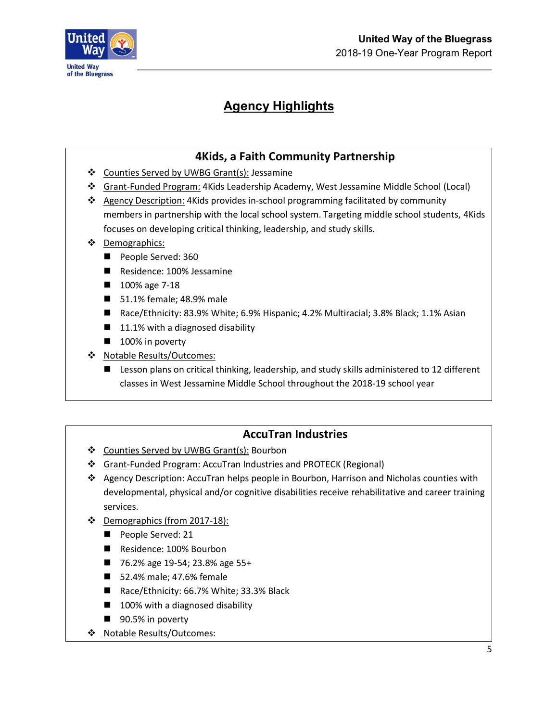



# **Agency Highlights**

### **4Kids, a Faith Community Partnership**

- ❖ Counties Served by UWBG Grant(s): Jessamine
- ❖ Grant-Funded Program: 4Kids Leadership Academy, West Jessamine Middle School (Local)
- ❖ Agency Description: 4Kids provides in-school programming facilitated by community members in partnership with the local school system. Targeting middle school students, 4Kids focuses on developing critical thinking, leadership, and study skills.
- ❖ Demographics:
	- People Served: 360
	- Residence: 100% Jessamine
	- 100% age 7-18
	- 51.1% female; 48.9% male
	- Race/Ethnicity: 83.9% White; 6.9% Hispanic; 4.2% Multiracial; 3.8% Black; 1.1% Asian
	- $\blacksquare$  11.1% with a diagnosed disability
	- 100% in poverty
- ❖ Notable Results/Outcomes:
	- Lesson plans on critical thinking, leadership, and study skills administered to 12 different classes in West Jessamine Middle School throughout the 2018-19 school year

### **AccuTran Industries**

- ❖ Counties Served by UWBG Grant(s): Bourbon
- ❖ Grant-Funded Program: AccuTran Industries and PROTECK (Regional)
- ❖ Agency Description: AccuTran helps people in Bourbon, Harrison and Nicholas counties with developmental, physical and/or cognitive disabilities receive rehabilitative and career training services.
- ❖ Demographics (from 2017-18):
	- People Served: 21
	- Residence: 100% Bourbon
	- 76.2% age 19-54; 23.8% age 55+
	- 52.4% male; 47.6% female
	- Race/Ethnicity: 66.7% White; 33.3% Black
	- 100% with a diagnosed disability
	- 90.5% in poverty
- ❖ Notable Results/Outcomes: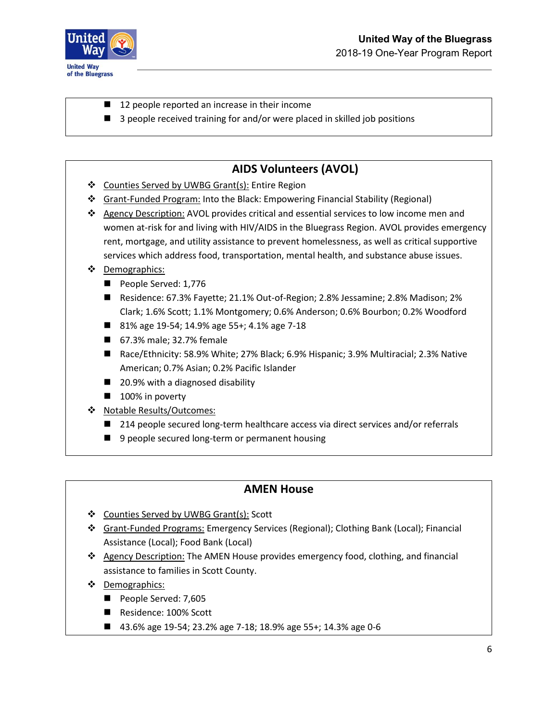

- 12 people reported an increase in their income
- 3 people received training for and/or were placed in skilled job positions

## **AIDS Volunteers (AVOL)**

- ❖ Counties Served by UWBG Grant(s): Entire Region
- ❖ Grant-Funded Program: Into the Black: Empowering Financial Stability (Regional)
- ❖ Agency Description: AVOL provides critical and essential services to low income men and women at-risk for and living with HIV/AIDS in the Bluegrass Region. AVOL provides emergency rent, mortgage, and utility assistance to prevent homelessness, as well as critical supportive services which address food, transportation, mental health, and substance abuse issues.
- ❖ Demographics:
	- People Served: 1,776
	- Residence: 67.3% Fayette; 21.1% Out-of-Region; 2.8% Jessamine; 2.8% Madison; 2% Clark; 1.6% Scott; 1.1% Montgomery; 0.6% Anderson; 0.6% Bourbon; 0.2% Woodford
	- 81% age 19-54; 14.9% age 55+; 4.1% age 7-18
	- 67.3% male; 32.7% female
	- Race/Ethnicity: 58.9% White; 27% Black; 6.9% Hispanic; 3.9% Multiracial; 2.3% Native American; 0.7% Asian; 0.2% Pacific Islander
	- 20.9% with a diagnosed disability
	- 100% in poverty
- ❖ Notable Results/Outcomes:
	- 214 people secured long-term healthcare access via direct services and/or referrals
	- 9 people secured long-term or permanent housing

#### **AMEN House**

- ❖ Counties Served by UWBG Grant(s): Scott
- ❖ Grant-Funded Programs: Emergency Services (Regional); Clothing Bank (Local); Financial Assistance (Local); Food Bank (Local)
- ❖ Agency Description: The AMEN House provides emergency food, clothing, and financial assistance to families in Scott County.
- ❖ Demographics:
	- People Served: 7,605
	- Residence: 100% Scott
	- 43.6% age 19-54; 23.2% age 7-18; 18.9% age 55+; 14.3% age 0-6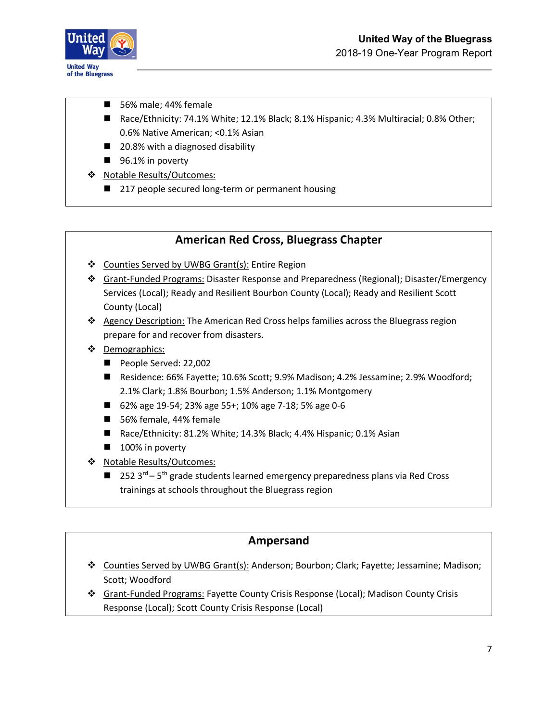

- 56% male; 44% female
- Race/Ethnicity: 74.1% White; 12.1% Black; 8.1% Hispanic; 4.3% Multiracial; 0.8% Other; 0.6% Native American; <0.1% Asian
- 20.8% with a diagnosed disability
- 96.1% in poverty
- ❖ Notable Results/Outcomes:
	- 217 people secured long-term or permanent housing

#### **American Red Cross, Bluegrass Chapter**

- ❖ Counties Served by UWBG Grant(s): Entire Region
- ❖ Grant-Funded Programs: Disaster Response and Preparedness (Regional); Disaster/Emergency Services (Local); Ready and Resilient Bourbon County (Local); Ready and Resilient Scott County (Local)
- ❖ Agency Description: The American Red Cross helps families across the Bluegrass region prepare for and recover from disasters.
- ❖ Demographics:
	- People Served: 22,002
	- Residence: 66% Fayette; 10.6% Scott; 9.9% Madison; 4.2% Jessamine; 2.9% Woodford; 2.1% Clark; 1.8% Bourbon; 1.5% Anderson; 1.1% Montgomery
	- 62% age 19-54; 23% age 55+; 10% age 7-18; 5% age 0-6
	- 56% female, 44% female
	- Race/Ethnicity: 81.2% White; 14.3% Black; 4.4% Hispanic; 0.1% Asian
	- 100% in poverty
- ❖ Notable Results/Outcomes:
	- $\blacksquare$  252 3<sup>rd</sup> 5<sup>th</sup> grade students learned emergency preparedness plans via Red Cross trainings at schools throughout the Bluegrass region

#### **Ampersand**

- ❖ Counties Served by UWBG Grant(s): Anderson; Bourbon; Clark; Fayette; Jessamine; Madison; Scott; Woodford
- ❖ Grant-Funded Programs: Fayette County Crisis Response (Local); Madison County Crisis Response (Local); Scott County Crisis Response (Local)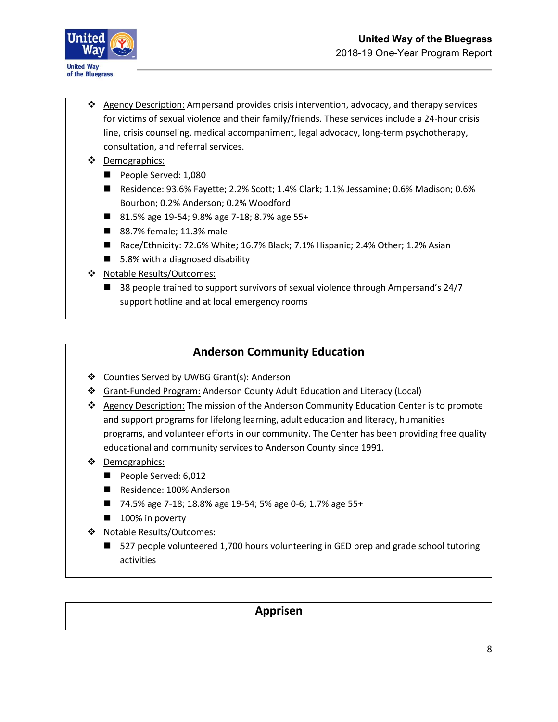



- ❖ Agency Description: Ampersand provides crisis intervention, advocacy, and therapy services for victims of sexual violence and their family/friends. These services include a 24-hour crisis line, crisis counseling, medical accompaniment, legal advocacy, long-term psychotherapy, consultation, and referral services.
- ❖ Demographics:
	- People Served: 1,080
	- Residence: 93.6% Fayette; 2.2% Scott; 1.4% Clark; 1.1% Jessamine; 0.6% Madison; 0.6% Bourbon; 0.2% Anderson; 0.2% Woodford
	- 81.5% age 19-54; 9.8% age 7-18; 8.7% age 55+
	- 88.7% female; 11.3% male
	- Race/Ethnicity: 72.6% White; 16.7% Black; 7.1% Hispanic; 2.4% Other; 1.2% Asian
	- 5.8% with a diagnosed disability
- ❖ Notable Results/Outcomes:
	- 38 people trained to support survivors of sexual violence through Ampersand's 24/7 support hotline and at local emergency rooms

### **Anderson Community Education**

- ❖ Counties Served by UWBG Grant(s): Anderson
- ❖ Grant-Funded Program: Anderson County Adult Education and Literacy (Local)
- ❖ Agency Description: The mission of the Anderson Community Education Center is to promote and support programs for lifelong learning, adult education and literacy, humanities programs, and volunteer efforts in our community. The Center has been providing free quality educational and community services to Anderson County since 1991.
- ❖ Demographics:
	- People Served: 6,012
	- Residence: 100% Anderson
	- 74.5% age 7-18; 18.8% age 19-54; 5% age 0-6; 1.7% age 55+
	- 100% in poverty
- ❖ Notable Results/Outcomes:
	- 527 people volunteered 1,700 hours volunteering in GED prep and grade school tutoring activities

#### **Apprisen**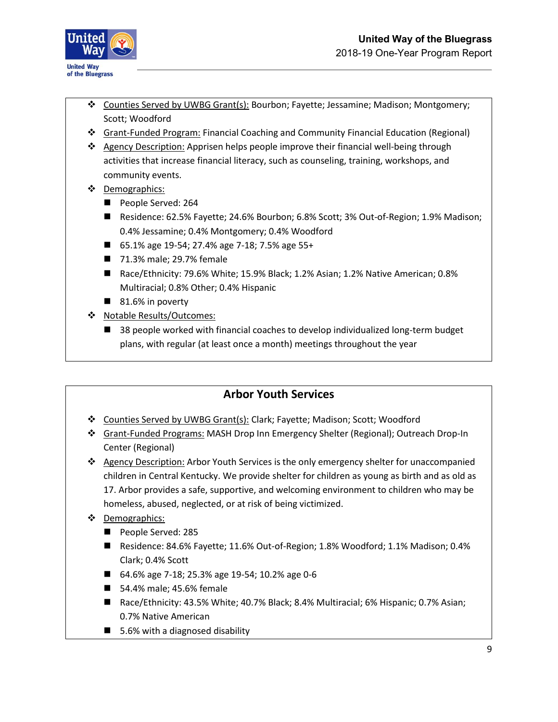

- ❖ Counties Served by UWBG Grant(s): Bourbon; Fayette; Jessamine; Madison; Montgomery; Scott; Woodford
- ❖ Grant-Funded Program: Financial Coaching and Community Financial Education (Regional)
- ❖ Agency Description: Apprisen helps people improve their financial well-being through activities that increase financial literacy, such as counseling, training, workshops, and community events.
- ❖ Demographics:
	- People Served: 264
	- Residence: 62.5% Fayette; 24.6% Bourbon; 6.8% Scott; 3% Out-of-Region; 1.9% Madison; 0.4% Jessamine; 0.4% Montgomery; 0.4% Woodford
	- 65.1% age 19-54; 27.4% age 7-18; 7.5% age 55+
	- 71.3% male; 29.7% female
	- Race/Ethnicity: 79.6% White; 15.9% Black; 1.2% Asian; 1.2% Native American; 0.8% Multiracial; 0.8% Other; 0.4% Hispanic
	- 81.6% in poverty
- ❖ Notable Results/Outcomes:
	- 38 people worked with financial coaches to develop individualized long-term budget plans, with regular (at least once a month) meetings throughout the year

### **Arbor Youth Services**

- ❖ Counties Served by UWBG Grant(s): Clark; Fayette; Madison; Scott; Woodford
- ❖ Grant-Funded Programs: MASH Drop Inn Emergency Shelter (Regional); Outreach Drop-In Center (Regional)

❖ Agency Description: Arbor Youth Services is the only emergency shelter for unaccompanied children in Central Kentucky. We provide shelter for children as young as birth and as old as 17. Arbor provides a safe, supportive, and welcoming environment to children who may be homeless, abused, neglected, or at risk of being victimized.

- ❖ Demographics:
	- People Served: 285
	- Residence: 84.6% Fayette; 11.6% Out-of-Region; 1.8% Woodford; 1.1% Madison; 0.4% Clark; 0.4% Scott
	- 64.6% age 7-18; 25.3% age 19-54; 10.2% age 0-6
	- 54.4% male; 45.6% female
	- Race/Ethnicity: 43.5% White; 40.7% Black; 8.4% Multiracial; 6% Hispanic; 0.7% Asian; 0.7% Native American
	- 5.6% with a diagnosed disability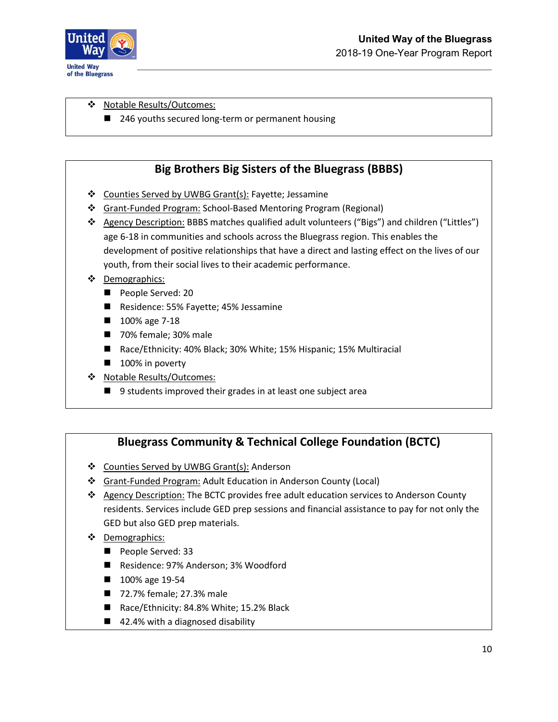

#### ❖ Notable Results/Outcomes:

■ 246 youths secured long-term or permanent housing

### **Big Brothers Big Sisters of the Bluegrass (BBBS)**

- ❖ Counties Served by UWBG Grant(s): Fayette; Jessamine
- ❖ Grant-Funded Program: School-Based Mentoring Program (Regional)
- ❖ Agency Description: BBBS matches qualified adult volunteers ("Bigs") and children ("Littles") age 6-18 in communities and schools across the Bluegrass region. This enables the development of positive relationships that have a direct and lasting effect on the lives of our youth, from their social lives to their academic performance.

#### ❖ Demographics:

- People Served: 20
- Residence: 55% Fayette; 45% Jessamine
- 100% age 7-18
- 70% female; 30% male
- Race/Ethnicity: 40% Black; 30% White; 15% Hispanic; 15% Multiracial
- 100% in poverty
- ❖ Notable Results/Outcomes:
	- 9 students improved their grades in at least one subject area

### **Bluegrass Community & Technical College Foundation (BCTC)**

- ❖ Counties Served by UWBG Grant(s): Anderson
- ❖ Grant-Funded Program: Adult Education in Anderson County (Local)
- ❖ Agency Description: The BCTC provides free adult education services to Anderson County residents. Services include GED prep sessions and financial assistance to pay for not only the GED but also GED prep materials.
- ❖ Demographics:
	- People Served: 33
	- Residence: 97% Anderson; 3% Woodford
	- 100% age 19-54
	- 72.7% female; 27.3% male
	- Race/Ethnicity: 84.8% White; 15.2% Black
	- 42.4% with a diagnosed disability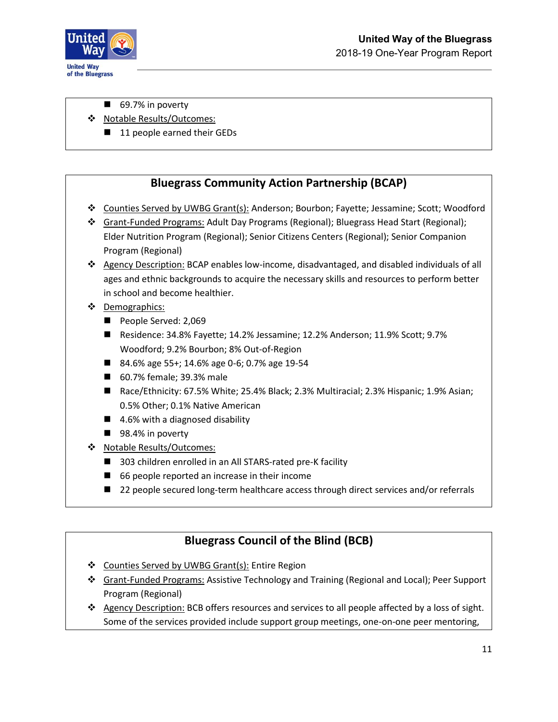

- 69.7% in poverty
- ❖ Notable Results/Outcomes:
	- 11 people earned their GEDs

#### **Bluegrass Community Action Partnership (BCAP)**

- ❖ Counties Served by UWBG Grant(s): Anderson; Bourbon; Fayette; Jessamine; Scott; Woodford
- ❖ Grant-Funded Programs: Adult Day Programs (Regional); Bluegrass Head Start (Regional); Elder Nutrition Program (Regional); Senior Citizens Centers (Regional); Senior Companion Program (Regional)
- ❖ Agency Description: BCAP enables low-income, disadvantaged, and disabled individuals of all ages and ethnic backgrounds to acquire the necessary skills and resources to perform better in school and become healthier.
- ❖ Demographics:
	- People Served: 2,069
	- Residence: 34.8% Fayette; 14.2% Jessamine; 12.2% Anderson; 11.9% Scott; 9.7% Woodford; 9.2% Bourbon; 8% Out-of-Region
	- 84.6% age 55+; 14.6% age 0-6; 0.7% age 19-54
	- 60.7% female; 39.3% male
	- Race/Ethnicity: 67.5% White; 25.4% Black; 2.3% Multiracial; 2.3% Hispanic; 1.9% Asian; 0.5% Other; 0.1% Native American
	- 4.6% with a diagnosed disability
	- 98.4% in poverty
- ❖ Notable Results/Outcomes:
	- 303 children enrolled in an All STARS-rated pre-K facility
	- 66 people reported an increase in their income
	- 22 people secured long-term healthcare access through direct services and/or referrals

### **Bluegrass Council of the Blind (BCB)**

- ❖ Counties Served by UWBG Grant(s): Entire Region
- ❖ Grant-Funded Programs: Assistive Technology and Training (Regional and Local); Peer Support Program (Regional)
- ❖ Agency Description: BCB offers resources and services to all people affected by a loss of sight. Some of the services provided include support group meetings, one-on-one peer mentoring,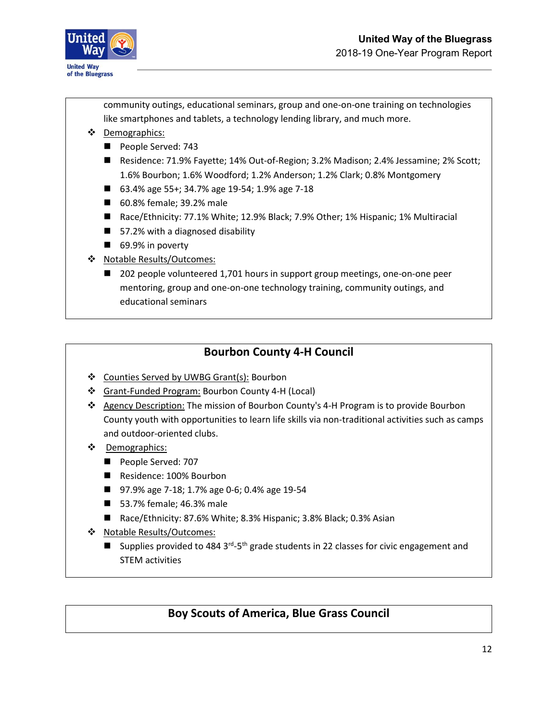

community outings, educational seminars, group and one-on-one training on technologies like smartphones and tablets, a technology lending library, and much more.

- ❖ Demographics:
	- People Served: 743
	- Residence: 71.9% Fayette; 14% Out-of-Region; 3.2% Madison; 2.4% Jessamine; 2% Scott; 1.6% Bourbon; 1.6% Woodford; 1.2% Anderson; 1.2% Clark; 0.8% Montgomery
	- 63.4% age 55+; 34.7% age 19-54; 1.9% age 7-18
	- 60.8% female; 39.2% male
	- Race/Ethnicity: 77.1% White; 12.9% Black; 7.9% Other; 1% Hispanic; 1% Multiracial
	- $\blacksquare$  57.2% with a diagnosed disability
	- 69.9% in poverty
- ❖ Notable Results/Outcomes:
	- 202 people volunteered 1,701 hours in support group meetings, one-on-one peer mentoring, group and one-on-one technology training, community outings, and educational seminars

### **Bourbon County 4-H Council**

- ❖ Counties Served by UWBG Grant(s): Bourbon
- ❖ Grant-Funded Program: Bourbon County 4-H (Local)
- ❖ Agency Description: The mission of Bourbon County's 4-H Program is to provide Bourbon County youth with opportunities to learn life skills via non-traditional activities such as camps and outdoor-oriented clubs.
- ❖ Demographics:
	- People Served: 707
	- Residence: 100% Bourbon
	- 97.9% age 7-18; 1.7% age 0-6; 0.4% age 19-54
	- 53.7% female; 46.3% male
	- Race/Ethnicity: 87.6% White; 8.3% Hispanic; 3.8% Black; 0.3% Asian
- ❖ Notable Results/Outcomes:
	- **■** Supplies provided to 484 3<sup>rd</sup>-5<sup>th</sup> grade students in 22 classes for civic engagement and STEM activities

### **Boy Scouts of America, Blue Grass Council**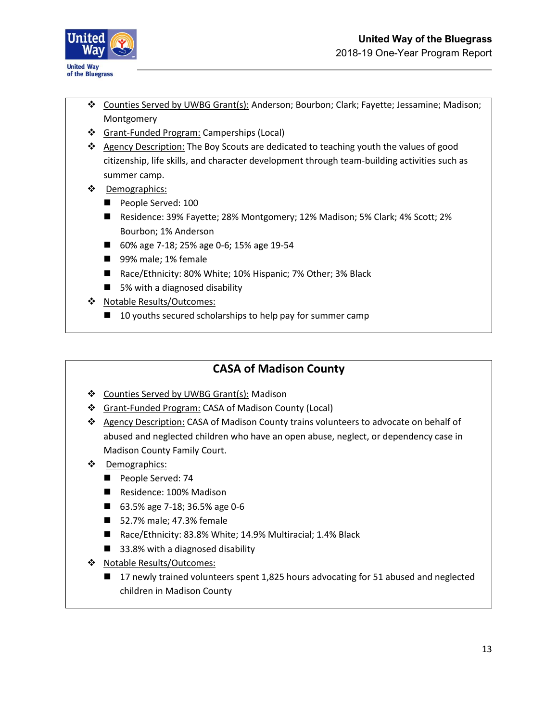

- ❖ Counties Served by UWBG Grant(s): Anderson; Bourbon; Clark; Fayette; Jessamine; Madison; Montgomery
- ❖ Grant-Funded Program: Camperships (Local)
- ❖ Agency Description: The Boy Scouts are dedicated to teaching youth the values of good citizenship, life skills, and character development through team-building activities such as summer camp.
- ❖ Demographics:
	- People Served: 100
	- Residence: 39% Fayette; 28% Montgomery; 12% Madison; 5% Clark; 4% Scott; 2% Bourbon; 1% Anderson
	- 60% age 7-18; 25% age 0-6; 15% age 19-54
	- 99% male; 1% female
	- Race/Ethnicity: 80% White; 10% Hispanic; 7% Other; 3% Black
	- 5% with a diagnosed disability
- ❖ Notable Results/Outcomes:
	- 10 youths secured scholarships to help pay for summer camp

#### **CASA of Madison County**

- ❖ Counties Served by UWBG Grant(s): Madison
- ❖ Grant-Funded Program: CASA of Madison County (Local)
- ❖ Agency Description: CASA of Madison County trains volunteers to advocate on behalf of abused and neglected children who have an open abuse, neglect, or dependency case in Madison County Family Court.
- ❖ Demographics:
	- People Served: 74
	- Residence: 100% Madison
	- 63.5% age 7-18; 36.5% age 0-6
	- 52.7% male; 47.3% female
	- Race/Ethnicity: 83.8% White; 14.9% Multiracial; 1.4% Black
	- 33.8% with a diagnosed disability
- ❖ Notable Results/Outcomes:
	- 17 newly trained volunteers spent 1,825 hours advocating for 51 abused and neglected children in Madison County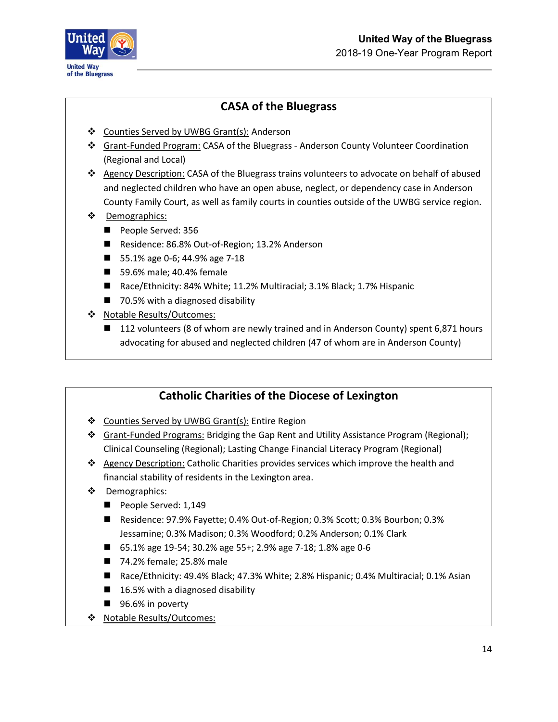

## **CASA of the Bluegrass**

- ❖ Counties Served by UWBG Grant(s): Anderson
- ❖ Grant-Funded Program: CASA of the Bluegrass Anderson County Volunteer Coordination (Regional and Local)
- ❖ Agency Description: CASA of the Bluegrass trains volunteers to advocate on behalf of abused and neglected children who have an open abuse, neglect, or dependency case in Anderson County Family Court, as well as family courts in counties outside of the UWBG service region.
- ❖ Demographics:
	- People Served: 356
	- Residence: 86.8% Out-of-Region; 13.2% Anderson
	- 55.1% age 0-6; 44.9% age 7-18
	- 59.6% male; 40.4% female
	- Race/Ethnicity: 84% White; 11.2% Multiracial; 3.1% Black; 1.7% Hispanic
	- 70.5% with a diagnosed disability
- ❖ Notable Results/Outcomes:
	- 112 volunteers (8 of whom are newly trained and in Anderson County) spent 6,871 hours advocating for abused and neglected children (47 of whom are in Anderson County)

### **Catholic Charities of the Diocese of Lexington**

- ❖ Counties Served by UWBG Grant(s): Entire Region
- ❖ Grant-Funded Programs: Bridging the Gap Rent and Utility Assistance Program (Regional); Clinical Counseling (Regional); Lasting Change Financial Literacy Program (Regional)
- ❖ Agency Description: Catholic Charities provides services which improve the health and financial stability of residents in the Lexington area.
- ❖ Demographics:
	- People Served: 1,149
	- Residence: 97.9% Fayette; 0.4% Out-of-Region; 0.3% Scott; 0.3% Bourbon; 0.3% Jessamine; 0.3% Madison; 0.3% Woodford; 0.2% Anderson; 0.1% Clark
	- 65.1% age 19-54; 30.2% age 55+; 2.9% age 7-18; 1.8% age 0-6
	- 74.2% female; 25.8% male
	- Race/Ethnicity: 49.4% Black; 47.3% White; 2.8% Hispanic; 0.4% Multiracial; 0.1% Asian
	- 16.5% with a diagnosed disability
	- 96.6% in poverty
- ❖ Notable Results/Outcomes: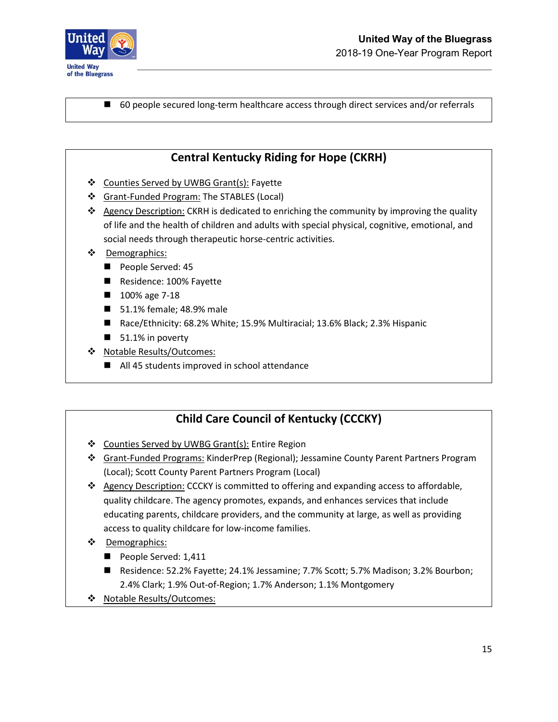

■ 60 people secured long-term healthcare access through direct services and/or referrals

### **Central Kentucky Riding for Hope (CKRH)**

- ❖ Counties Served by UWBG Grant(s): Fayette
- ❖ Grant-Funded Program: The STABLES (Local)
- ❖ Agency Description: CKRH is dedicated to enriching the community by improving the quality of life and the health of children and adults with special physical, cognitive, emotional, and social needs through therapeutic horse-centric activities.
- ❖ Demographics:
	- People Served: 45
	- Residence: 100% Fayette
	- 100% age 7-18
	- 51.1% female; 48.9% male
	- Race/Ethnicity: 68.2% White; 15.9% Multiracial; 13.6% Black; 2.3% Hispanic
	- 51.1% in poverty
- ❖ Notable Results/Outcomes:
	- All 45 students improved in school attendance

### **Child Care Council of Kentucky (CCCKY)**

- ❖ Counties Served by UWBG Grant(s): Entire Region
- ❖ Grant-Funded Programs: KinderPrep (Regional); Jessamine County Parent Partners Program (Local); Scott County Parent Partners Program (Local)
- ❖ Agency Description: CCCKY is committed to offering and expanding access to affordable, quality childcare. The agency promotes, expands, and enhances services that include educating parents, childcare providers, and the community at large, as well as providing access to quality childcare for low-income families.
- ❖ Demographics:
	- People Served: 1,411
	- Residence: 52.2% Fayette; 24.1% Jessamine; 7.7% Scott; 5.7% Madison; 3.2% Bourbon; 2.4% Clark; 1.9% Out-of-Region; 1.7% Anderson; 1.1% Montgomery
- ❖ Notable Results/Outcomes: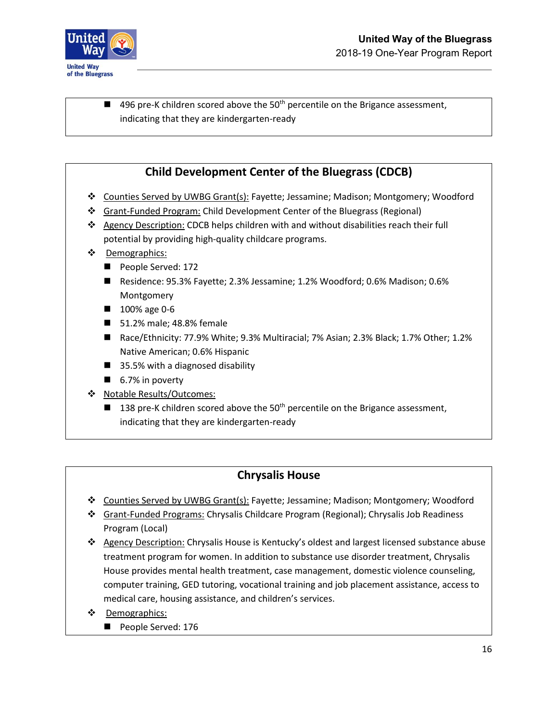

 $\blacksquare$  496 pre-K children scored above the 50<sup>th</sup> percentile on the Brigance assessment, indicating that they are kindergarten-ready

### **Child Development Center of the Bluegrass (CDCB)**

- ❖ Counties Served by UWBG Grant(s): Fayette; Jessamine; Madison; Montgomery; Woodford
- ❖ Grant-Funded Program: Child Development Center of the Bluegrass (Regional)
- ❖ Agency Description: CDCB helps children with and without disabilities reach their full potential by providing high-quality childcare programs.
- ❖ Demographics:
	- People Served: 172
	- Residence: 95.3% Fayette; 2.3% Jessamine; 1.2% Woodford; 0.6% Madison; 0.6% Montgomery
	- 100% age 0-6
	- 51.2% male; 48.8% female
	- Race/Ethnicity: 77.9% White; 9.3% Multiracial; 7% Asian; 2.3% Black; 1.7% Other; 1.2% Native American; 0.6% Hispanic
	- 35.5% with a diagnosed disability
	- 6.7% in poverty
- ❖ Notable Results/Outcomes:
	- 138 pre-K children scored above the 50<sup>th</sup> percentile on the Brigance assessment, indicating that they are kindergarten-ready

#### **Chrysalis House**

- ❖ Counties Served by UWBG Grant(s): Fayette; Jessamine; Madison; Montgomery; Woodford
- ❖ Grant-Funded Programs: Chrysalis Childcare Program (Regional); Chrysalis Job Readiness Program (Local)
- ❖ Agency Description: Chrysalis House is Kentucky's oldest and largest licensed substance abuse treatment program for women. In addition to substance use disorder treatment, Chrysalis House provides mental health treatment, case management, domestic violence counseling, computer training, GED tutoring, vocational training and job placement assistance, access to medical care, housing assistance, and children's services.
- ❖ Demographics:
	- People Served: 176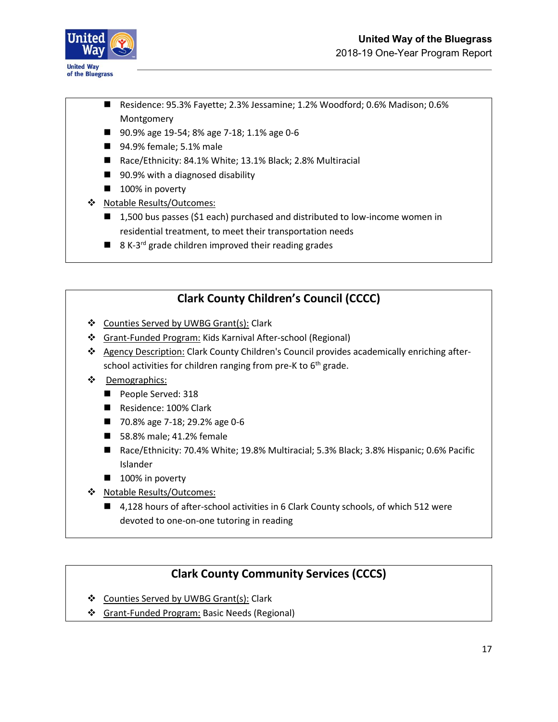

- Residence: 95.3% Fayette; 2.3% Jessamine; 1.2% Woodford; 0.6% Madison; 0.6% Montgomery
- 90.9% age 19-54; 8% age 7-18; 1.1% age 0-6
- 94.9% female; 5.1% male
- Race/Ethnicity: 84.1% White; 13.1% Black; 2.8% Multiracial
- 90.9% with a diagnosed disability
- 100% in poverty
- ❖ Notable Results/Outcomes:
	- 1,500 bus passes (\$1 each) purchased and distributed to low-income women in residential treatment, to meet their transportation needs
	- 8 K-3<sup>rd</sup> grade children improved their reading grades

## **Clark County Children's Council (CCCC)**

- ❖ Counties Served by UWBG Grant(s): Clark
- ❖ Grant-Funded Program: Kids Karnival After-school (Regional)
- ❖ Agency Description: Clark County Children's Council provides academically enriching afterschool activities for children ranging from pre-K to  $6<sup>th</sup>$  grade.
- ❖ Demographics:
	- People Served: 318
	- Residence: 100% Clark
	- 70.8% age 7-18; 29.2% age 0-6
	- 58.8% male; 41.2% female
	- Race/Ethnicity: 70.4% White; 19.8% Multiracial; 5.3% Black; 3.8% Hispanic; 0.6% Pacific Islander
	- 100% in poverty
- ❖ Notable Results/Outcomes:
	- 4,128 hours of after-school activities in 6 Clark County schools, of which 512 were devoted to one-on-one tutoring in reading

### **Clark County Community Services (CCCS)**

- ❖ Counties Served by UWBG Grant(s): Clark
- ❖ Grant-Funded Program: Basic Needs (Regional)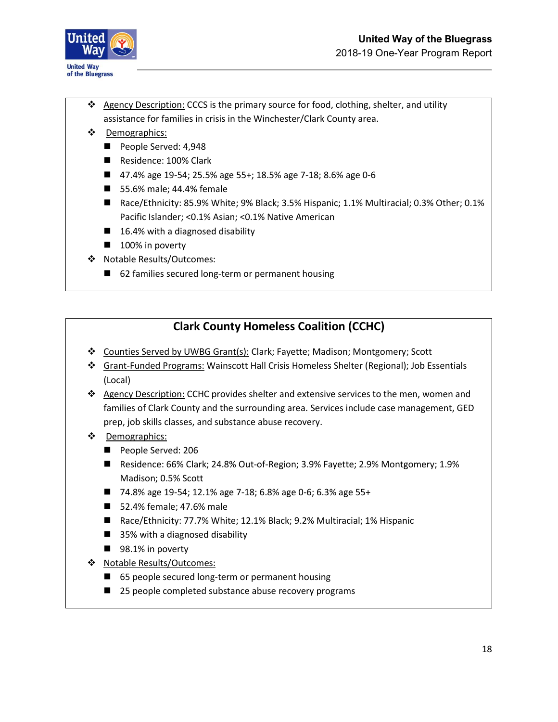

- ❖ Agency Description: CCCS is the primary source for food, clothing, shelter, and utility assistance for families in crisis in the Winchester/Clark County area.
- ❖ Demographics:
	- People Served: 4,948
	- Residence: 100% Clark
	- 47.4% age 19-54; 25.5% age 55+; 18.5% age 7-18; 8.6% age 0-6
	- 55.6% male; 44.4% female
	- Race/Ethnicity: 85.9% White; 9% Black; 3.5% Hispanic; 1.1% Multiracial; 0.3% Other; 0.1% Pacific Islander; <0.1% Asian; <0.1% Native American
	- 16.4% with a diagnosed disability
	- 100% in poverty
- ❖ Notable Results/Outcomes:
	- 62 families secured long-term or permanent housing

### **Clark County Homeless Coalition (CCHC)**

- ❖ Counties Served by UWBG Grant(s): Clark; Fayette; Madison; Montgomery; Scott
- ❖ Grant-Funded Programs: Wainscott Hall Crisis Homeless Shelter (Regional); Job Essentials (Local)
- ❖ Agency Description: CCHC provides shelter and extensive services to the men, women and families of Clark County and the surrounding area. Services include case management, GED prep, job skills classes, and substance abuse recovery.
- ❖ Demographics:
	- People Served: 206
	- Residence: 66% Clark; 24.8% Out-of-Region; 3.9% Fayette; 2.9% Montgomery; 1.9% Madison; 0.5% Scott
	- 74.8% age 19-54; 12.1% age 7-18; 6.8% age 0-6; 6.3% age 55+
	- 52.4% female; 47.6% male
	- Race/Ethnicity: 77.7% White; 12.1% Black; 9.2% Multiracial; 1% Hispanic
	- 35% with a diagnosed disability
	- 98.1% in poverty
- ❖ Notable Results/Outcomes:
	- 65 people secured long-term or permanent housing
	- 25 people completed substance abuse recovery programs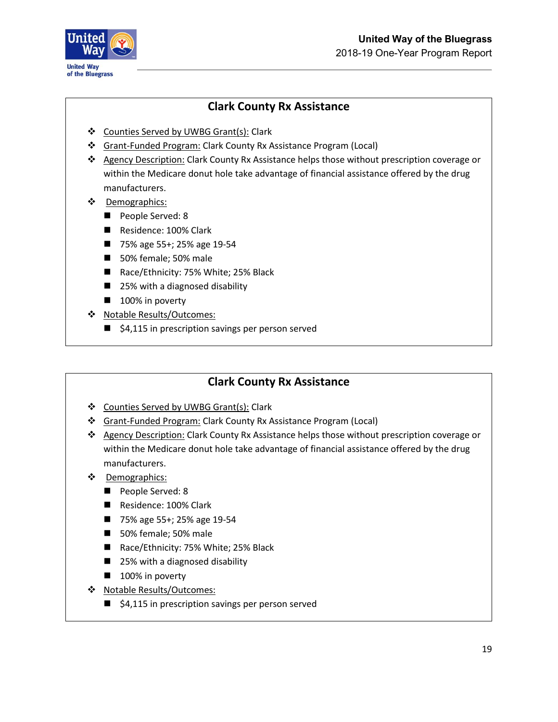

### **Clark County Rx Assistance**

- ❖ Counties Served by UWBG Grant(s): Clark
- ❖ Grant-Funded Program: Clark County Rx Assistance Program (Local)
- ❖ Agency Description: Clark County Rx Assistance helps those without prescription coverage or within the Medicare donut hole take advantage of financial assistance offered by the drug manufacturers.
- ❖ Demographics:
	- People Served: 8
	- Residence: 100% Clark
	- 75% age 55+; 25% age 19-54
	- 50% female; 50% male
	- Race/Ethnicity: 75% White; 25% Black
	- 25% with a diagnosed disability
	- 100% in poverty
- ❖ Notable Results/Outcomes:
	- \$4,115 in prescription savings per person served

### **Clark County Rx Assistance**

- ❖ Counties Served by UWBG Grant(s): Clark
- ❖ Grant-Funded Program: Clark County Rx Assistance Program (Local)
- ❖ Agency Description: Clark County Rx Assistance helps those without prescription coverage or within the Medicare donut hole take advantage of financial assistance offered by the drug manufacturers.
- ❖ Demographics:
	- People Served: 8
	- Residence: 100% Clark
	- 75% age 55+; 25% age 19-54
	- 50% female; 50% male
	- Race/Ethnicity: 75% White; 25% Black
	- 25% with a diagnosed disability
	- 100% in poverty
- ❖ Notable Results/Outcomes:
	- \$4,115 in prescription savings per person served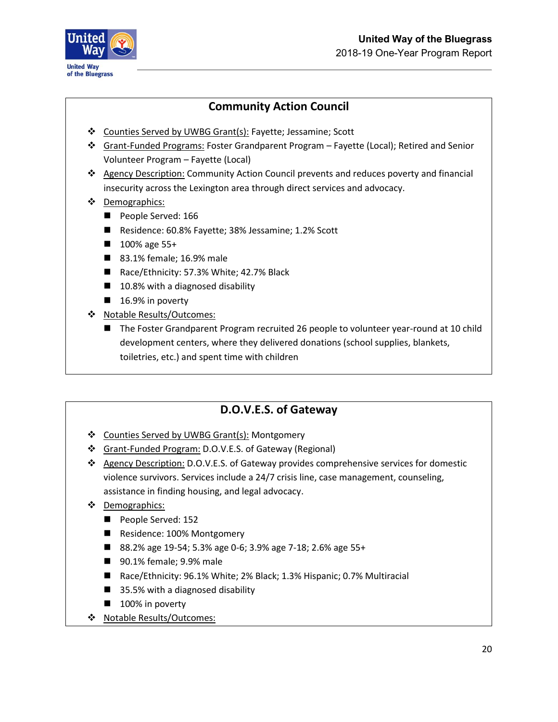

### **Community Action Council**

- ❖ Counties Served by UWBG Grant(s): Fayette; Jessamine; Scott
- ❖ Grant-Funded Programs: Foster Grandparent Program Fayette (Local); Retired and Senior Volunteer Program – Fayette (Local)
- ❖ Agency Description: Community Action Council prevents and reduces poverty and financial insecurity across the Lexington area through direct services and advocacy.
- ❖ Demographics:
	- People Served: 166
	- Residence: 60.8% Fayette; 38% Jessamine; 1.2% Scott
	- 100% age 55+
	- 83.1% female; 16.9% male
	- Race/Ethnicity: 57.3% White; 42.7% Black
	- 10.8% with a diagnosed disability
	- 16.9% in poverty
- ❖ Notable Results/Outcomes:
	- The Foster Grandparent Program recruited 26 people to volunteer year-round at 10 child development centers, where they delivered donations (school supplies, blankets, toiletries, etc.) and spent time with children

### **D.O.V.E.S. of Gateway**

- ❖ Counties Served by UWBG Grant(s): Montgomery
- ❖ Grant-Funded Program: D.O.V.E.S. of Gateway (Regional)
- ❖ Agency Description: D.O.V.E.S. of Gateway provides comprehensive services for domestic violence survivors. Services include a 24/7 crisis line, case management, counseling, assistance in finding housing, and legal advocacy.
- ❖ Demographics:
	- People Served: 152
	- Residence: 100% Montgomery
	- 88.2% age 19-54; 5.3% age 0-6; 3.9% age 7-18; 2.6% age 55+
	- 90.1% female; 9.9% male
	- Race/Ethnicity: 96.1% White; 2% Black; 1.3% Hispanic; 0.7% Multiracial
	- 35.5% with a diagnosed disability
	- 100% in poverty
- ❖ Notable Results/Outcomes: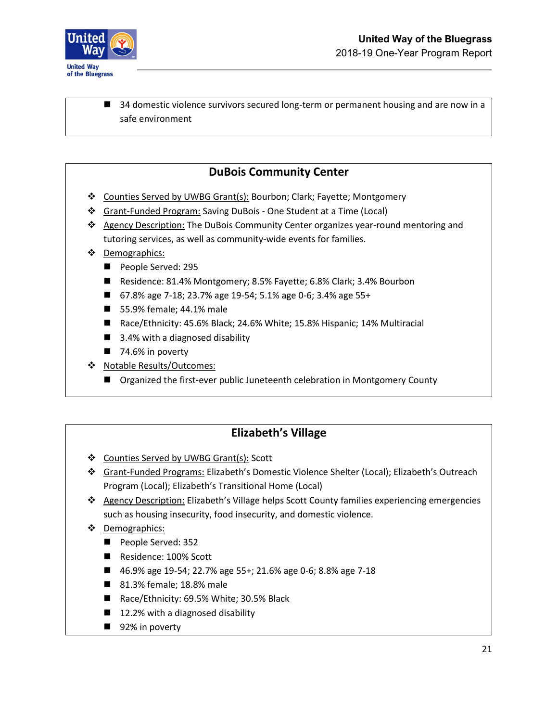

■ 34 domestic violence survivors secured long-term or permanent housing and are now in a safe environment

### **DuBois Community Center**

- ❖ Counties Served by UWBG Grant(s): Bourbon; Clark; Fayette; Montgomery
- ❖ Grant-Funded Program: Saving DuBois One Student at a Time (Local)
- ❖ Agency Description: The DuBois Community Center organizes year-round mentoring and tutoring services, as well as community-wide events for families.
- ❖ Demographics:
	- People Served: 295
	- Residence: 81.4% Montgomery; 8.5% Fayette; 6.8% Clark; 3.4% Bourbon
	- 67.8% age 7-18; 23.7% age 19-54; 5.1% age 0-6; 3.4% age 55+
	- 55.9% female; 44.1% male
	- Race/Ethnicity: 45.6% Black; 24.6% White; 15.8% Hispanic; 14% Multiracial
	- 3.4% with a diagnosed disability
	- 74.6% in poverty
- ❖ Notable Results/Outcomes:
	- Organized the first-ever public Juneteenth celebration in Montgomery County

### **Elizabeth's Village**

- ❖ Counties Served by UWBG Grant(s): Scott
- ❖ Grant-Funded Programs: Elizabeth's Domestic Violence Shelter (Local); Elizabeth's Outreach Program (Local); Elizabeth's Transitional Home (Local)
- ❖ Agency Description: Elizabeth's Village helps Scott County families experiencing emergencies such as housing insecurity, food insecurity, and domestic violence.
- ❖ Demographics:
	- People Served: 352
	- Residence: 100% Scott
	- 46.9% age 19-54; 22.7% age 55+; 21.6% age 0-6; 8.8% age 7-18
	- 81.3% female; 18.8% male
	- Race/Ethnicity: 69.5% White; 30.5% Black
	- 12.2% with a diagnosed disability
	- 92% in poverty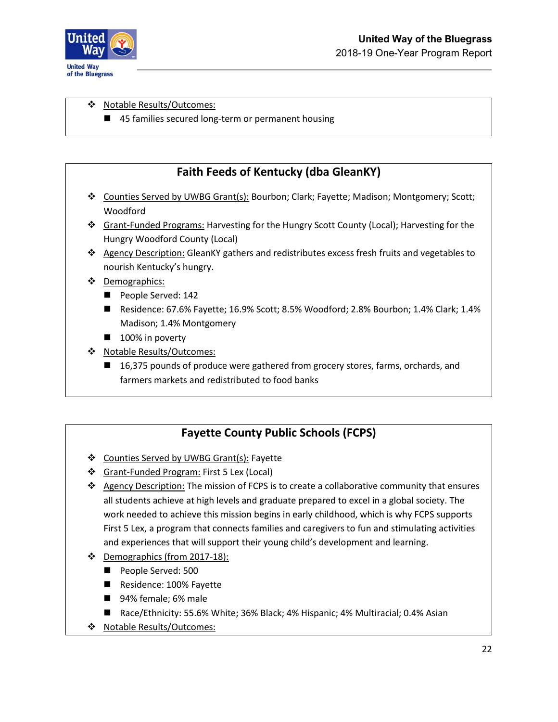

❖ Notable Results/Outcomes:

■ 45 families secured long-term or permanent housing

### **Faith Feeds of Kentucky (dba GleanKY)**

- ❖ Counties Served by UWBG Grant(s): Bourbon; Clark; Fayette; Madison; Montgomery; Scott; Woodford
- ❖ Grant-Funded Programs: Harvesting for the Hungry Scott County (Local); Harvesting for the Hungry Woodford County (Local)
- ❖ Agency Description: GleanKY gathers and redistributes excess fresh fruits and vegetables to nourish Kentucky's hungry.
- ❖ Demographics:
	- People Served: 142
	- Residence: 67.6% Fayette; 16.9% Scott; 8.5% Woodford; 2.8% Bourbon; 1.4% Clark; 1.4% Madison; 1.4% Montgomery
	- 100% in poverty
- ❖ Notable Results/Outcomes:
	- 16,375 pounds of produce were gathered from grocery stores, farms, orchards, and farmers markets and redistributed to food banks

## **Fayette County Public Schools (FCPS)**

- ❖ Counties Served by UWBG Grant(s): Fayette
- ❖ Grant-Funded Program: First 5 Lex (Local)
- ❖ Agency Description: The mission of FCPS is to create a collaborative community that ensures all students achieve at high levels and graduate prepared to excel in a global society. The work needed to achieve this mission begins in early childhood, which is why FCPS supports First 5 Lex, a program that connects families and caregivers to fun and stimulating activities and experiences that will support their young child's development and learning.
- ❖ Demographics (from 2017-18):
	- People Served: 500
	- Residence: 100% Fayette
	- 94% female; 6% male
	- Race/Ethnicity: 55.6% White; 36% Black; 4% Hispanic; 4% Multiracial; 0.4% Asian
- ❖ Notable Results/Outcomes: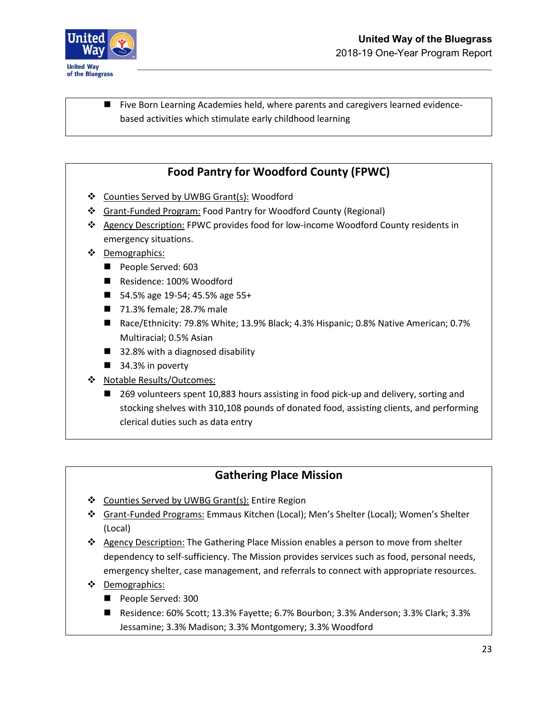

■ Five Born Learning Academies held, where parents and caregivers learned evidencebased activities which stimulate early childhood learning

### **Food Pantry for Woodford County (FPWC)**

- ❖ Counties Served by UWBG Grant(s): Woodford
- ❖ Grant-Funded Program: Food Pantry for Woodford County (Regional)
- ❖ Agency Description: FPWC provides food for low-income Woodford County residents in emergency situations.
- ❖ Demographics:
	- People Served: 603
	- Residence: 100% Woodford
	- 54.5% age 19-54; 45.5% age 55+
	- 71.3% female; 28.7% male
	- Race/Ethnicity: 79.8% White; 13.9% Black; 4.3% Hispanic; 0.8% Native American; 0.7% Multiracial; 0.5% Asian
	- 32.8% with a diagnosed disability
	- 34.3% in poverty
- ❖ Notable Results/Outcomes:
	- 269 volunteers spent 10,883 hours assisting in food pick-up and delivery, sorting and stocking shelves with 310,108 pounds of donated food, assisting clients, and performing clerical duties such as data entry

#### **Gathering Place Mission**

- ❖ Counties Served by UWBG Grant(s): Entire Region
- ❖ Grant-Funded Programs: Emmaus Kitchen (Local); Men's Shelter (Local); Women's Shelter (Local)
- ❖ Agency Description: The Gathering Place Mission enables a person to move from shelter dependency to self-sufficiency. The Mission provides services such as food, personal needs, emergency shelter, case management, and referrals to connect with appropriate resources.
- ❖ Demographics:
	- People Served: 300
	- Residence: 60% Scott; 13.3% Fayette; 6.7% Bourbon; 3.3% Anderson; 3.3% Clark; 3.3% Jessamine; 3.3% Madison; 3.3% Montgomery; 3.3% Woodford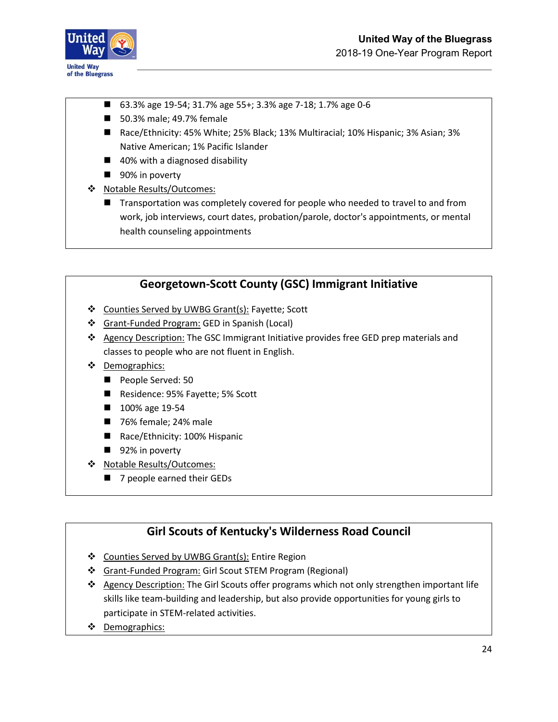

- 63.3% age 19-54; 31.7% age 55+; 3.3% age 7-18; 1.7% age 0-6
- 50.3% male; 49.7% female
- Race/Ethnicity: 45% White; 25% Black; 13% Multiracial; 10% Hispanic; 3% Asian; 3% Native American; 1% Pacific Islander
- 40% with a diagnosed disability
- 90% in poverty
- ❖ Notable Results/Outcomes:
	- Transportation was completely covered for people who needed to travel to and from work, job interviews, court dates, probation/parole, doctor's appointments, or mental health counseling appointments



- ❖ Counties Served by UWBG Grant(s): Fayette; Scott
- ❖ Grant-Funded Program: GED in Spanish (Local)
- ❖ Agency Description: The GSC Immigrant Initiative provides free GED prep materials and classes to people who are not fluent in English.
- ❖ Demographics:
	- People Served: 50
	- Residence: 95% Fayette; 5% Scott
	- 100% age 19-54
	- 76% female; 24% male
	- Race/Ethnicity: 100% Hispanic
	- 92% in poverty
- ❖ Notable Results/Outcomes:
	- 7 people earned their GEDs

### **Girl Scouts of Kentucky's Wilderness Road Council**

- ❖ Counties Served by UWBG Grant(s): Entire Region
- ❖ Grant-Funded Program: Girl Scout STEM Program (Regional)
- ❖ Agency Description: The Girl Scouts offer programs which not only strengthen important life skills like team-building and leadership, but also provide opportunities for young girls to participate in STEM-related activities.
- ❖ Demographics: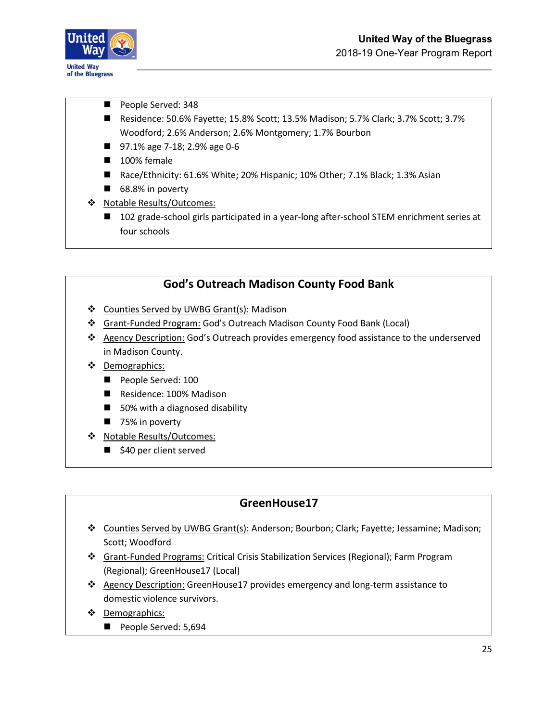

- People Served: 348
- Residence: 50.6% Fayette; 15.8% Scott; 13.5% Madison; 5.7% Clark; 3.7% Scott; 3.7% Woodford; 2.6% Anderson; 2.6% Montgomery; 1.7% Bourbon
- 97.1% age 7-18; 2.9% age 0-6
- 100% female
- Race/Ethnicity: 61.6% White; 20% Hispanic; 10% Other; 7.1% Black; 1.3% Asian
- 68.8% in poverty
- ❖ Notable Results/Outcomes:
	- 102 grade-school girls participated in a year-long after-school STEM enrichment series at four schools

### **God's Outreach Madison County Food Bank**

- ❖ Counties Served by UWBG Grant(s): Madison
- ❖ Grant-Funded Program: God's Outreach Madison County Food Bank (Local)
- ❖ Agency Description: God's Outreach provides emergency food assistance to the underserved in Madison County.
- ❖ Demographics:
	- People Served: 100
	- Residence: 100% Madison
	- 50% with a diagnosed disability
	- 75% in poverty
- ❖ Notable Results/Outcomes:
	- \$40 per client served

### **GreenHouse17**

- ❖ Counties Served by UWBG Grant(s): Anderson; Bourbon; Clark; Fayette; Jessamine; Madison; Scott; Woodford
- ❖ Grant-Funded Programs: Critical Crisis Stabilization Services (Regional); Farm Program (Regional); GreenHouse17 (Local)
- ❖ Agency Description: GreenHouse17 provides emergency and long-term assistance to domestic violence survivors.
- ❖ Demographics:
	- People Served: 5,694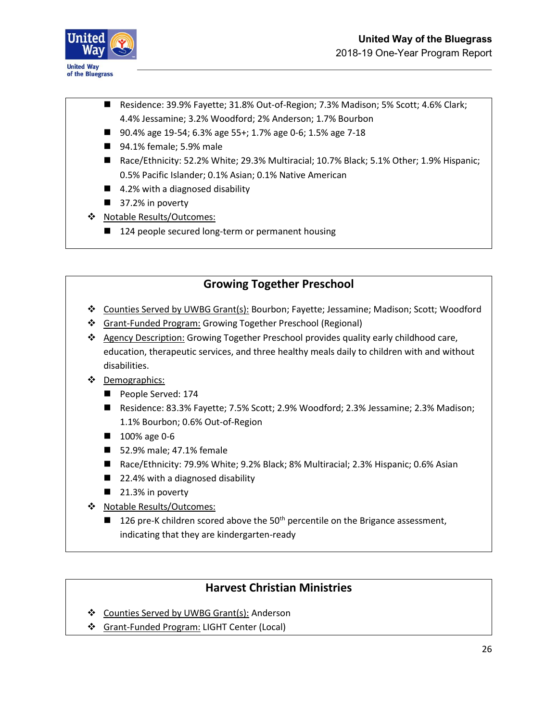

- Residence: 39.9% Fayette; 31.8% Out-of-Region; 7.3% Madison; 5% Scott; 4.6% Clark; 4.4% Jessamine; 3.2% Woodford; 2% Anderson; 1.7% Bourbon
- 90.4% age 19-54; 6.3% age 55+; 1.7% age 0-6; 1.5% age 7-18
- 94.1% female; 5.9% male
- Race/Ethnicity: 52.2% White; 29.3% Multiracial; 10.7% Black; 5.1% Other; 1.9% Hispanic; 0.5% Pacific Islander; 0.1% Asian; 0.1% Native American
- $\blacksquare$  4.2% with a diagnosed disability
- 37.2% in poverty
- ❖ Notable Results/Outcomes:
	- 124 people secured long-term or permanent housing

### **Growing Together Preschool**

- ❖ Counties Served by UWBG Grant(s): Bourbon; Fayette; Jessamine; Madison; Scott; Woodford
- ❖ Grant-Funded Program: Growing Together Preschool (Regional)
- ❖ Agency Description: Growing Together Preschool provides quality early childhood care, education, therapeutic services, and three healthy meals daily to children with and without disabilities.
- ❖ Demographics:
	- People Served: 174
	- Residence: 83.3% Fayette; 7.5% Scott; 2.9% Woodford; 2.3% Jessamine; 2.3% Madison; 1.1% Bourbon; 0.6% Out-of-Region
	- 100% age 0-6
	- 52.9% male; 47.1% female
	- Race/Ethnicity: 79.9% White; 9.2% Black; 8% Multiracial; 2.3% Hispanic; 0.6% Asian
	- 22.4% with a diagnosed disability
	- 21.3% in poverty
- ❖ Notable Results/Outcomes:
	- $\blacksquare$  126 pre-K children scored above the 50<sup>th</sup> percentile on the Brigance assessment, indicating that they are kindergarten-ready

### **Harvest Christian Ministries**

- ❖ Counties Served by UWBG Grant(s): Anderson
- ❖ Grant-Funded Program: LIGHT Center (Local)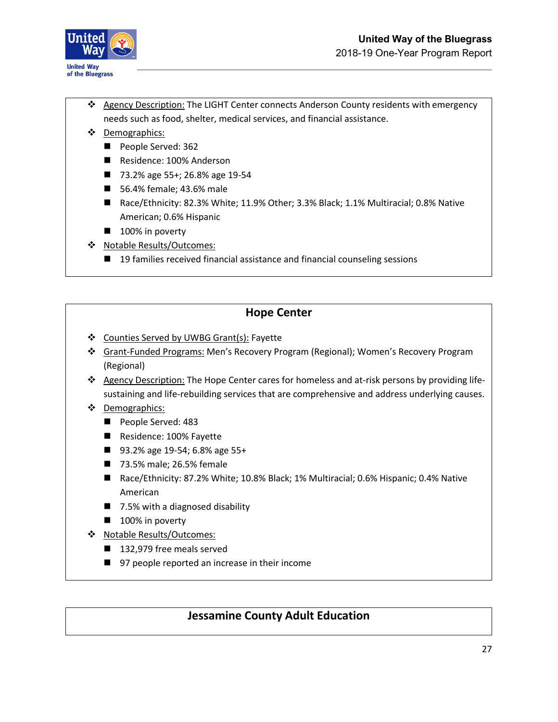

- ❖ Agency Description: The LIGHT Center connects Anderson County residents with emergency needs such as food, shelter, medical services, and financial assistance.
- ❖ Demographics:
	- People Served: 362
	- Residence: 100% Anderson
	- 73.2% age 55+; 26.8% age 19-54
	- 56.4% female; 43.6% male
	- Race/Ethnicity: 82.3% White; 11.9% Other; 3.3% Black; 1.1% Multiracial; 0.8% Native American; 0.6% Hispanic
	- 100% in poverty
- ❖ Notable Results/Outcomes:
	- 19 families received financial assistance and financial counseling sessions

### **Hope Center**

- ❖ Counties Served by UWBG Grant(s): Fayette
- ❖ Grant-Funded Programs: Men's Recovery Program (Regional); Women's Recovery Program (Regional)
- ❖ Agency Description: The Hope Center cares for homeless and at-risk persons by providing lifesustaining and life-rebuilding services that are comprehensive and address underlying causes.
- ❖ Demographics:
	- People Served: 483
	- Residence: 100% Fayette
	- 93.2% age 19-54; 6.8% age 55+
	- 73.5% male; 26.5% female
	- Race/Ethnicity: 87.2% White; 10.8% Black; 1% Multiracial; 0.6% Hispanic; 0.4% Native American
	- 7.5% with a diagnosed disability
	- 100% in poverty
- ❖ Notable Results/Outcomes:
	- 132,979 free meals served
	- 97 people reported an increase in their income

#### **Jessamine County Adult Education**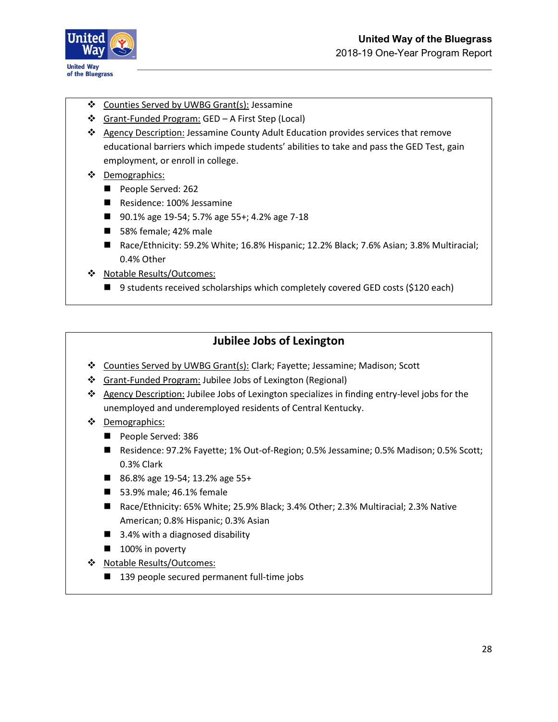

- ❖ Counties Served by UWBG Grant(s): Jessamine
- ❖ Grant-Funded Program: GED A First Step (Local)
- ❖ Agency Description: Jessamine County Adult Education provides services that remove educational barriers which impede students' abilities to take and pass the GED Test, gain employment, or enroll in college.
- ❖ Demographics:
	- People Served: 262
	- Residence: 100% Jessamine
	- 90.1% age 19-54; 5.7% age 55+; 4.2% age 7-18
	- 58% female; 42% male
	- Race/Ethnicity: 59.2% White; 16.8% Hispanic; 12.2% Black; 7.6% Asian; 3.8% Multiracial; 0.4% Other
- ❖ Notable Results/Outcomes:
	- 9 students received scholarships which completely covered GED costs (\$120 each)

### **Jubilee Jobs of Lexington**

- ❖ Counties Served by UWBG Grant(s): Clark; Fayette; Jessamine; Madison; Scott
- ❖ Grant-Funded Program: Jubilee Jobs of Lexington (Regional)
- ❖ Agency Description: Jubilee Jobs of Lexington specializes in finding entry-level jobs for the unemployed and underemployed residents of Central Kentucky.
- ❖ Demographics:
	- People Served: 386
	- Residence: 97.2% Fayette; 1% Out-of-Region; 0.5% Jessamine; 0.5% Madison; 0.5% Scott; 0.3% Clark
	- 86.8% age 19-54; 13.2% age 55+
	- 53.9% male; 46.1% female
	- Race/Ethnicity: 65% White; 25.9% Black; 3.4% Other; 2.3% Multiracial; 2.3% Native American; 0.8% Hispanic; 0.3% Asian
	- 3.4% with a diagnosed disability
	- 100% in poverty
- ❖ Notable Results/Outcomes:
	- 139 people secured permanent full-time jobs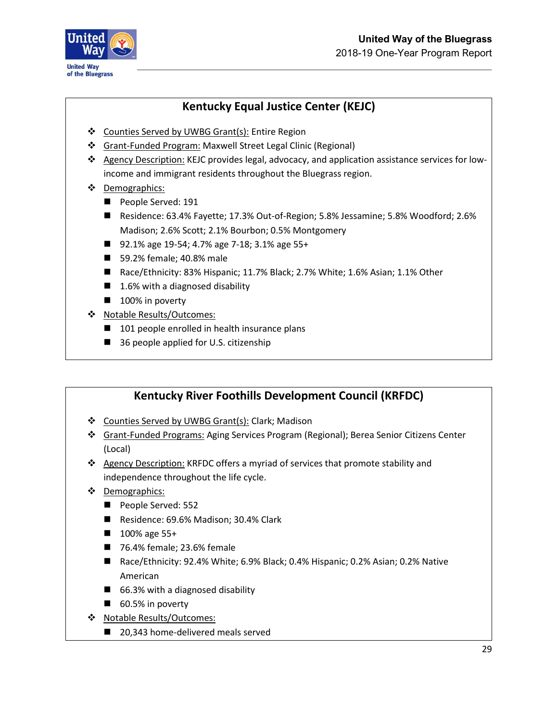

## **Kentucky Equal Justice Center (KEJC)**

- ❖ Counties Served by UWBG Grant(s): Entire Region
- ❖ Grant-Funded Program: Maxwell Street Legal Clinic (Regional)
- ❖ Agency Description: KEJC provides legal, advocacy, and application assistance services for lowincome and immigrant residents throughout the Bluegrass region.
- ❖ Demographics:
	- People Served: 191
	- Residence: 63.4% Fayette; 17.3% Out-of-Region; 5.8% Jessamine; 5.8% Woodford; 2.6% Madison; 2.6% Scott; 2.1% Bourbon; 0.5% Montgomery
	- 92.1% age 19-54; 4.7% age 7-18; 3.1% age 55+
	- 59.2% female; 40.8% male
	- Race/Ethnicity: 83% Hispanic; 11.7% Black; 2.7% White; 1.6% Asian; 1.1% Other
	- 1.6% with a diagnosed disability
	- 100% in poverty
- ❖ Notable Results/Outcomes:
	- 101 people enrolled in health insurance plans
	- 36 people applied for U.S. citizenship

### **Kentucky River Foothills Development Council (KRFDC)**

- ❖ Counties Served by UWBG Grant(s): Clark; Madison
- ❖ Grant-Funded Programs: Aging Services Program (Regional); Berea Senior Citizens Center (Local)
- ❖ Agency Description: KRFDC offers a myriad of services that promote stability and independence throughout the life cycle.
- ❖ Demographics:
	- People Served: 552
	- Residence: 69.6% Madison; 30.4% Clark
	- 100% age 55+
	- 76.4% female; 23.6% female
	- Race/Ethnicity: 92.4% White; 6.9% Black; 0.4% Hispanic; 0.2% Asian; 0.2% Native American
	- 66.3% with a diagnosed disability
	- 60.5% in poverty
- ❖ Notable Results/Outcomes:
	- 20,343 home-delivered meals served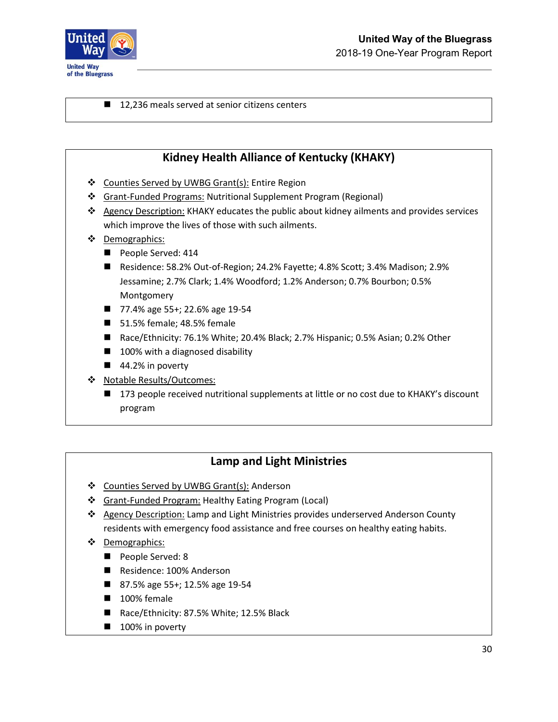

■ 12,236 meals served at senior citizens centers

### **Kidney Health Alliance of Kentucky (KHAKY)**

- ❖ Counties Served by UWBG Grant(s): Entire Region
- ❖ Grant-Funded Programs: Nutritional Supplement Program (Regional)
- ❖ Agency Description: KHAKY educates the public about kidney ailments and provides services which improve the lives of those with such ailments.
- ❖ Demographics:
	- People Served: 414
	- Residence: 58.2% Out-of-Region; 24.2% Fayette; 4.8% Scott; 3.4% Madison; 2.9% Jessamine; 2.7% Clark; 1.4% Woodford; 1.2% Anderson; 0.7% Bourbon; 0.5% Montgomery
	- 77.4% age 55+; 22.6% age 19-54
	- 51.5% female; 48.5% female
	- Race/Ethnicity: 76.1% White; 20.4% Black; 2.7% Hispanic; 0.5% Asian; 0.2% Other
	- 100% with a diagnosed disability
	- 44.2% in poverty
- ❖ Notable Results/Outcomes:
	- 173 people received nutritional supplements at little or no cost due to KHAKY's discount program

#### **Lamp and Light Ministries**

- ❖ Counties Served by UWBG Grant(s): Anderson
- ❖ Grant-Funded Program: Healthy Eating Program (Local)
- ❖ Agency Description: Lamp and Light Ministries provides underserved Anderson County residents with emergency food assistance and free courses on healthy eating habits.
- ❖ Demographics:
	- People Served: 8
	- Residence: 100% Anderson
	- 87.5% age 55+; 12.5% age 19-54
	- 100% female
	- Race/Ethnicity: 87.5% White; 12.5% Black
	- 100% in poverty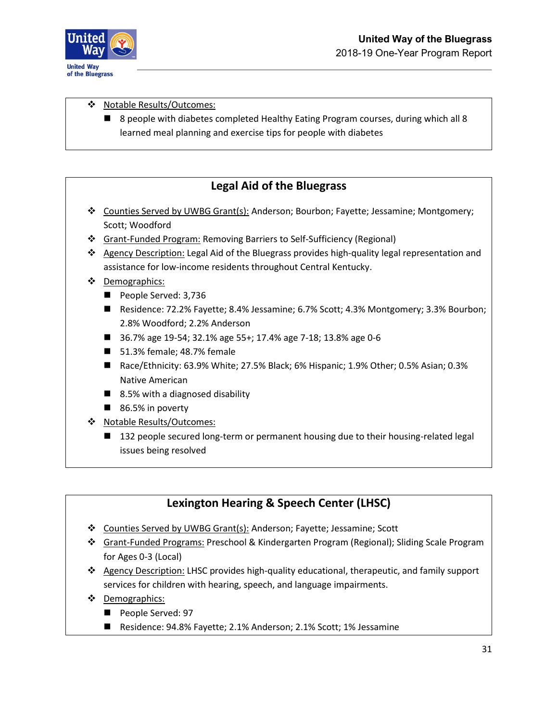

❖ Notable Results/Outcomes:

■ 8 people with diabetes completed Healthy Eating Program courses, during which all 8 learned meal planning and exercise tips for people with diabetes

### **Legal Aid of the Bluegrass**

- ❖ Counties Served by UWBG Grant(s): Anderson; Bourbon; Fayette; Jessamine; Montgomery; Scott; Woodford
- ❖ Grant-Funded Program: Removing Barriers to Self-Sufficiency (Regional)
- ❖ Agency Description: Legal Aid of the Bluegrass provides high-quality legal representation and assistance for low-income residents throughout Central Kentucky.
- ❖ Demographics:
	- People Served: 3,736
	- Residence: 72.2% Fayette; 8.4% Jessamine; 6.7% Scott; 4.3% Montgomery; 3.3% Bourbon; 2.8% Woodford; 2.2% Anderson
	- 36.7% age 19-54; 32.1% age 55+; 17.4% age 7-18; 13.8% age 0-6
	- 51.3% female; 48.7% female
	- Race/Ethnicity: 63.9% White; 27.5% Black; 6% Hispanic; 1.9% Other; 0.5% Asian; 0.3% Native American
	- 8.5% with a diagnosed disability
	- 86.5% in poverty
- ❖ Notable Results/Outcomes:
	- 132 people secured long-term or permanent housing due to their housing-related legal issues being resolved

## **Lexington Hearing & Speech Center (LHSC)**

- ❖ Counties Served by UWBG Grant(s): Anderson; Fayette; Jessamine; Scott
- ❖ Grant-Funded Programs: Preschool & Kindergarten Program (Regional); Sliding Scale Program for Ages 0-3 (Local)
- ❖ Agency Description: LHSC provides high-quality educational, therapeutic, and family support services for children with hearing, speech, and language impairments.
- ❖ Demographics:
	- People Served: 97
	- Residence: 94.8% Fayette; 2.1% Anderson; 2.1% Scott; 1% Jessamine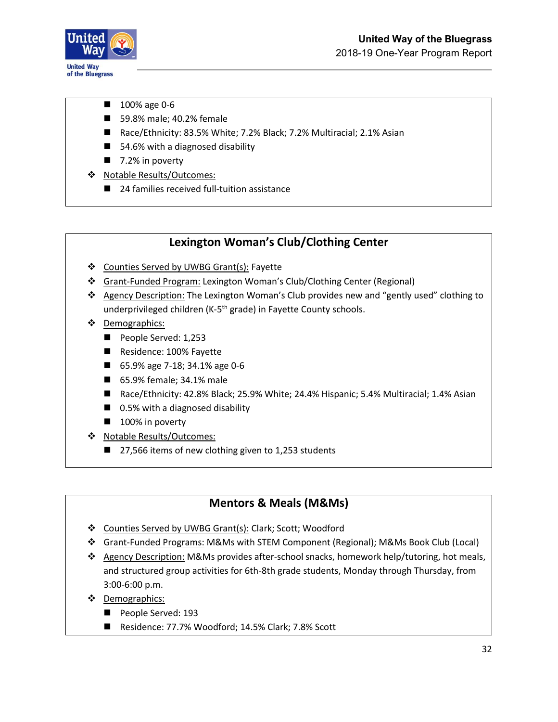

- 100% age 0-6
- 59.8% male; 40.2% female
- Race/Ethnicity: 83.5% White; 7.2% Black; 7.2% Multiracial; 2.1% Asian
- 54.6% with a diagnosed disability
- 7.2% in poverty
- ❖ Notable Results/Outcomes:
	- 24 families received full-tuition assistance

### **Lexington Woman's Club/Clothing Center**

- ❖ Counties Served by UWBG Grant(s): Fayette
- ❖ Grant-Funded Program: Lexington Woman's Club/Clothing Center (Regional)
- ❖ Agency Description: The Lexington Woman's Club provides new and "gently used" clothing to underprivileged children (K-5<sup>th</sup> grade) in Fayette County schools.
- ❖ Demographics:
	- People Served: 1,253
	- Residence: 100% Fayette
	- 65.9% age 7-18; 34.1% age 0-6
	- 65.9% female; 34.1% male
	- Race/Ethnicity: 42.8% Black; 25.9% White; 24.4% Hispanic; 5.4% Multiracial; 1.4% Asian
	- 0.5% with a diagnosed disability
	- 100% in poverty
- ❖ Notable Results/Outcomes:
	- 27,566 items of new clothing given to 1,253 students

### **Mentors & Meals (M&Ms)**

- ❖ Counties Served by UWBG Grant(s): Clark; Scott; Woodford
- ❖ Grant-Funded Programs: M&Ms with STEM Component (Regional); M&Ms Book Club (Local)
- ❖ Agency Description: M&Ms provides after-school snacks, homework help/tutoring, hot meals, and structured group activities for 6th-8th grade students, Monday through Thursday, from 3:00-6:00 p.m.
- ❖ Demographics:
	- People Served: 193
	- Residence: 77.7% Woodford; 14.5% Clark; 7.8% Scott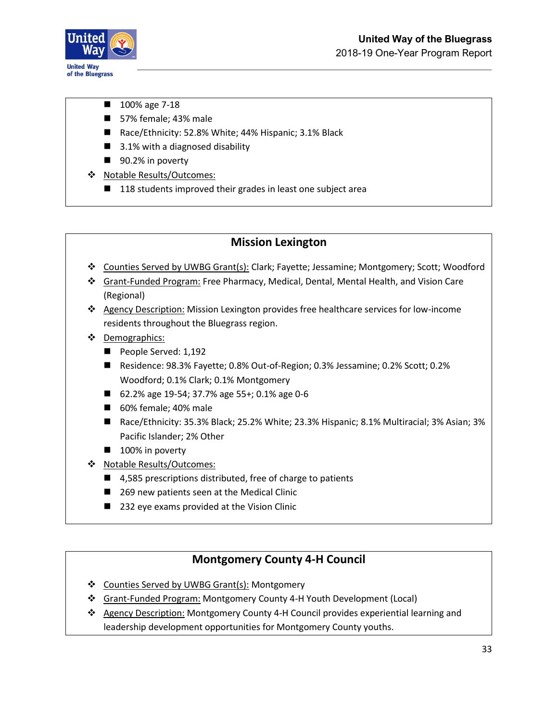

- 100% age 7-18
- 57% female; 43% male
- Race/Ethnicity: 52.8% White; 44% Hispanic; 3.1% Black
- 3.1% with a diagnosed disability
- 90.2% in poverty
- ❖ Notable Results/Outcomes:
	- 118 students improved their grades in least one subject area

#### **Mission Lexington**

- ❖ Counties Served by UWBG Grant(s): Clark; Fayette; Jessamine; Montgomery; Scott; Woodford
- ❖ Grant-Funded Program: Free Pharmacy, Medical, Dental, Mental Health, and Vision Care (Regional)
- ❖ Agency Description: Mission Lexington provides free healthcare services for low-income residents throughout the Bluegrass region.
- ❖ Demographics:
	- People Served: 1,192
	- Residence: 98.3% Fayette; 0.8% Out-of-Region; 0.3% Jessamine; 0.2% Scott; 0.2% Woodford; 0.1% Clark; 0.1% Montgomery
	- 62.2% age 19-54; 37.7% age 55+; 0.1% age 0-6
	- 60% female; 40% male
	- Race/Ethnicity: 35.3% Black; 25.2% White; 23.3% Hispanic; 8.1% Multiracial; 3% Asian; 3% Pacific Islander; 2% Other
	- 100% in poverty
- ❖ Notable Results/Outcomes:
	- 4,585 prescriptions distributed, free of charge to patients
	- 269 new patients seen at the Medical Clinic
	- 232 eye exams provided at the Vision Clinic

### **Montgomery County 4-H Council**

- ❖ Counties Served by UWBG Grant(s): Montgomery
- ❖ Grant-Funded Program: Montgomery County 4-H Youth Development (Local)
- ❖ Agency Description: Montgomery County 4-H Council provides experiential learning and leadership development opportunities for Montgomery County youths.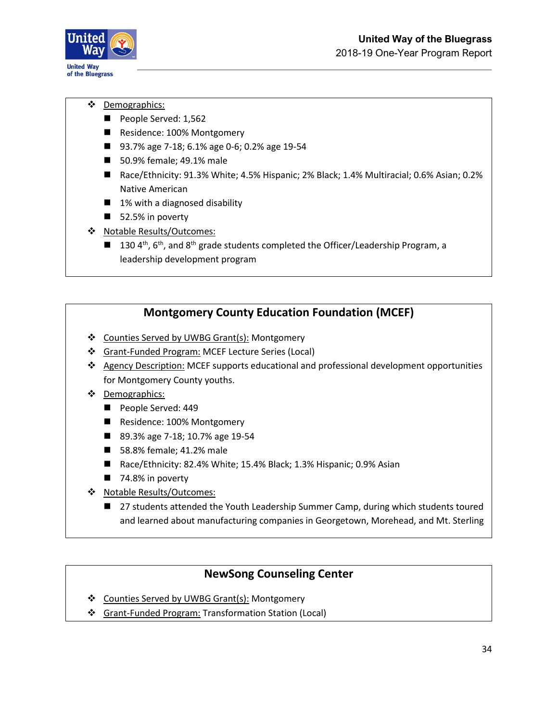

- ❖ Demographics:
	- People Served: 1,562
	- Residence: 100% Montgomery
	- 93.7% age 7-18; 6.1% age 0-6; 0.2% age 19-54
	- 50.9% female; 49.1% male
	- Race/Ethnicity: 91.3% White; 4.5% Hispanic; 2% Black; 1.4% Multiracial; 0.6% Asian; 0.2% Native American
	- 1% with a diagnosed disability
	- 52.5% in poverty
- ❖ Notable Results/Outcomes:
	- $\blacksquare$  130 4<sup>th</sup>, 6<sup>th</sup>, and 8<sup>th</sup> grade students completed the Officer/Leadership Program, a leadership development program

#### **Montgomery County Education Foundation (MCEF)**

- ❖ Counties Served by UWBG Grant(s): Montgomery
- ❖ Grant-Funded Program: MCEF Lecture Series (Local)
- ❖ Agency Description: MCEF supports educational and professional development opportunities for Montgomery County youths.
- ❖ Demographics:
	- People Served: 449
	- Residence: 100% Montgomery
	- 89.3% age 7-18; 10.7% age 19-54
	- 58.8% female; 41.2% male
	- Race/Ethnicity: 82.4% White; 15.4% Black; 1.3% Hispanic; 0.9% Asian
	- 74.8% in poverty
- ❖ Notable Results/Outcomes:
	- 27 students attended the Youth Leadership Summer Camp, during which students toured and learned about manufacturing companies in Georgetown, Morehead, and Mt. Sterling

### **NewSong Counseling Center**

- ❖ Counties Served by UWBG Grant(s): Montgomery
- ❖ Grant-Funded Program: Transformation Station (Local)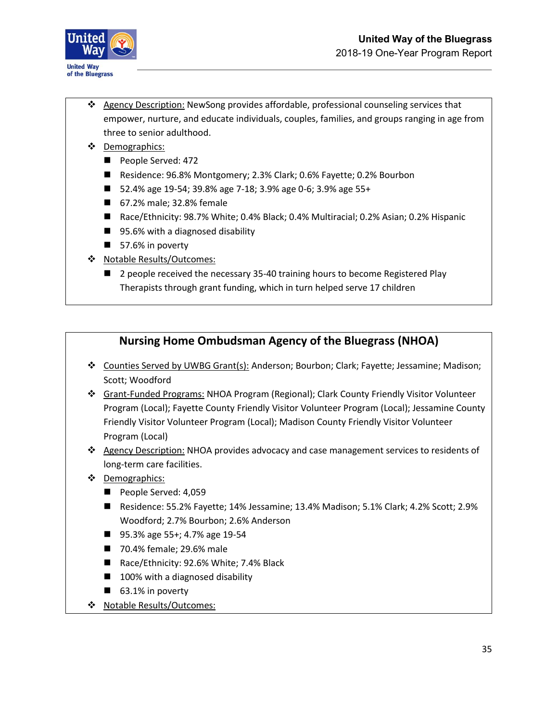

- ❖ Agency Description: NewSong provides affordable, professional counseling services that empower, nurture, and educate individuals, couples, families, and groups ranging in age from three to senior adulthood.
- ❖ Demographics:
	- People Served: 472
	- Residence: 96.8% Montgomery; 2.3% Clark; 0.6% Fayette; 0.2% Bourbon
	- 52.4% age 19-54; 39.8% age 7-18; 3.9% age 0-6; 3.9% age 55+
	- 67.2% male; 32.8% female
	- Race/Ethnicity: 98.7% White; 0.4% Black; 0.4% Multiracial; 0.2% Asian; 0.2% Hispanic
	- 95.6% with a diagnosed disability
	- 57.6% in poverty
- ❖ Notable Results/Outcomes:
	- 2 people received the necessary 35-40 training hours to become Registered Play Therapists through grant funding, which in turn helped serve 17 children

### **Nursing Home Ombudsman Agency of the Bluegrass (NHOA)**

- ❖ Counties Served by UWBG Grant(s): Anderson; Bourbon; Clark; Fayette; Jessamine; Madison; Scott; Woodford
- ❖ Grant-Funded Programs: NHOA Program (Regional); Clark County Friendly Visitor Volunteer Program (Local); Fayette County Friendly Visitor Volunteer Program (Local); Jessamine County Friendly Visitor Volunteer Program (Local); Madison County Friendly Visitor Volunteer Program (Local)
- ❖ Agency Description: NHOA provides advocacy and case management services to residents of long-term care facilities.
- ❖ Demographics:
	- People Served: 4,059
	- Residence: 55.2% Fayette; 14% Jessamine; 13.4% Madison; 5.1% Clark; 4.2% Scott; 2.9% Woodford; 2.7% Bourbon; 2.6% Anderson
	- 95.3% age 55+; 4.7% age 19-54
	- 70.4% female; 29.6% male
	- Race/Ethnicity: 92.6% White; 7.4% Black
	- 100% with a diagnosed disability
	- 63.1% in poverty
- ❖ Notable Results/Outcomes: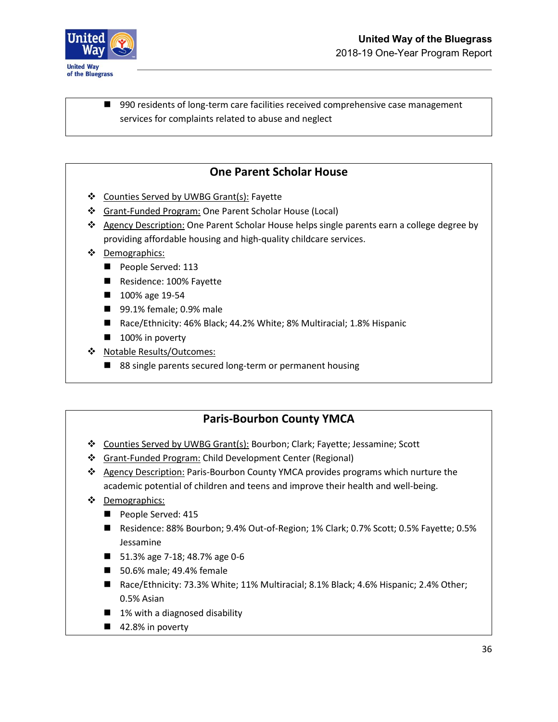

■ 990 residents of long-term care facilities received comprehensive case management services for complaints related to abuse and neglect

### **One Parent Scholar House**

- ❖ Counties Served by UWBG Grant(s): Fayette
- ❖ Grant-Funded Program: One Parent Scholar House (Local)
- ❖ Agency Description: One Parent Scholar House helps single parents earn a college degree by providing affordable housing and high-quality childcare services.
- ❖ Demographics:
	- People Served: 113
	- Residence: 100% Fayette
	- 100% age 19-54
	- 99.1% female; 0.9% male
	- Race/Ethnicity: 46% Black; 44.2% White; 8% Multiracial; 1.8% Hispanic
	- 100% in poverty
- ❖ Notable Results/Outcomes:
	- 88 single parents secured long-term or permanent housing

### **Paris-Bourbon County YMCA**

- ❖ Counties Served by UWBG Grant(s): Bourbon; Clark; Fayette; Jessamine; Scott
- ❖ Grant-Funded Program: Child Development Center (Regional)
- ❖ Agency Description: Paris-Bourbon County YMCA provides programs which nurture the academic potential of children and teens and improve their health and well-being.
- ❖ Demographics:
	- People Served: 415
	- Residence: 88% Bourbon; 9.4% Out-of-Region; 1% Clark; 0.7% Scott; 0.5% Fayette; 0.5% Jessamine
	- 51.3% age 7-18; 48.7% age 0-6
	- 50.6% male; 49.4% female
	- Race/Ethnicity: 73.3% White; 11% Multiracial; 8.1% Black; 4.6% Hispanic; 2.4% Other; 0.5% Asian
	- 1% with a diagnosed disability
	- 42.8% in poverty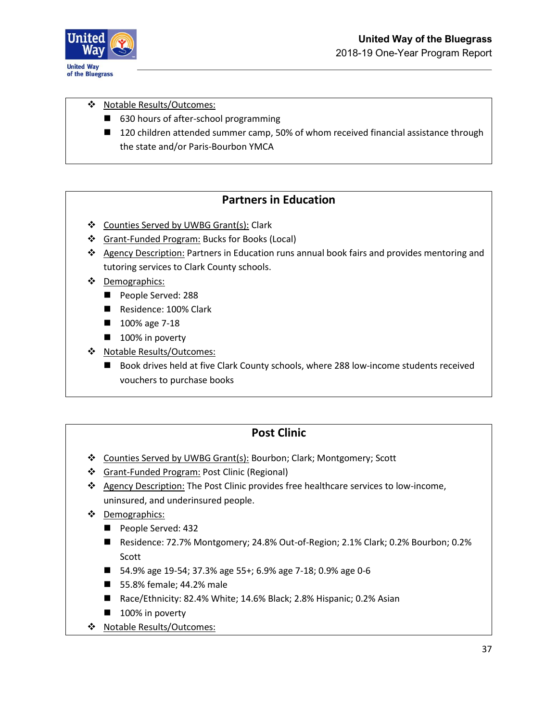

❖ Notable Results/Outcomes:

- 630 hours of after-school programming
- 120 children attended summer camp, 50% of whom received financial assistance through the state and/or Paris-Bourbon YMCA

### **Partners in Education**

- ❖ Counties Served by UWBG Grant(s): Clark
- ❖ Grant-Funded Program: Bucks for Books (Local)
- ❖ Agency Description: Partners in Education runs annual book fairs and provides mentoring and tutoring services to Clark County schools.
- ❖ Demographics:
	- People Served: 288
	- Residence: 100% Clark
	- 100% age 7-18
	- 100% in poverty
- ❖ Notable Results/Outcomes:
	- Book drives held at five Clark County schools, where 288 low-income students received vouchers to purchase books

#### **Post Clinic**

- ❖ Counties Served by UWBG Grant(s): Bourbon; Clark; Montgomery; Scott
- ❖ Grant-Funded Program: Post Clinic (Regional)
- ❖ Agency Description: The Post Clinic provides free healthcare services to low-income, uninsured, and underinsured people.
- ❖ Demographics:
	- People Served: 432
	- Residence: 72.7% Montgomery; 24.8% Out-of-Region; 2.1% Clark; 0.2% Bourbon; 0.2% Scott
	- 54.9% age 19-54; 37.3% age 55+; 6.9% age 7-18; 0.9% age 0-6
	- 55.8% female; 44.2% male
	- Race/Ethnicity: 82.4% White; 14.6% Black; 2.8% Hispanic; 0.2% Asian
	- 100% in poverty
- ❖ Notable Results/Outcomes: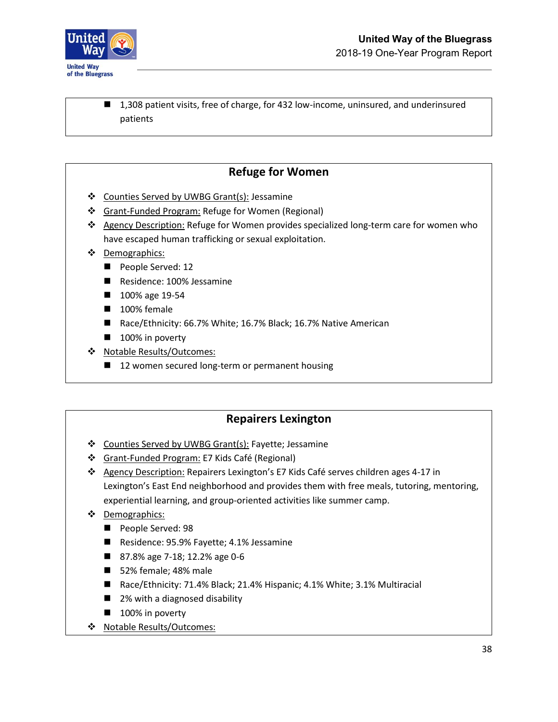

■ 1,308 patient visits, free of charge, for 432 low-income, uninsured, and underinsured patients

### **Refuge for Women**

- ❖ Counties Served by UWBG Grant(s): Jessamine
- ❖ Grant-Funded Program: Refuge for Women (Regional)
- ❖ Agency Description: Refuge for Women provides specialized long-term care for women who have escaped human trafficking or sexual exploitation.
- ❖ Demographics:
	- People Served: 12
	- Residence: 100% Jessamine
	- 100% age 19-54
	- 100% female
	- Race/Ethnicity: 66.7% White; 16.7% Black; 16.7% Native American
	- 100% in poverty
- ❖ Notable Results/Outcomes:
	- 12 women secured long-term or permanent housing

#### **Repairers Lexington**

- ❖ Counties Served by UWBG Grant(s): Fayette; Jessamine
- ❖ Grant-Funded Program: E7 Kids Café (Regional)
- ❖ Agency Description: Repairers Lexington's E7 Kids Café serves children ages 4-17 in Lexington's East End neighborhood and provides them with free meals, tutoring, mentoring, experiential learning, and group-oriented activities like summer camp.
- ❖ Demographics:
	- People Served: 98
	- Residence: 95.9% Fayette; 4.1% Jessamine
	- 87.8% age 7-18; 12.2% age 0-6
	- 52% female; 48% male
	- Race/Ethnicity: 71.4% Black; 21.4% Hispanic; 4.1% White; 3.1% Multiracial
	- 2% with a diagnosed disability
	- 100% in poverty
- ❖ Notable Results/Outcomes: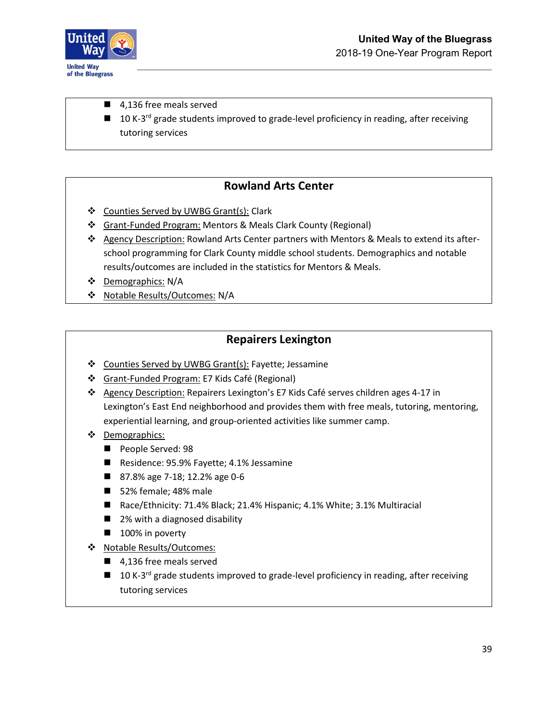

- 4,136 free meals served
- 10 K-3<sup>rd</sup> grade students improved to grade-level proficiency in reading, after receiving tutoring services

### **Rowland Arts Center**

- ❖ Counties Served by UWBG Grant(s): Clark
- ❖ Grant-Funded Program: Mentors & Meals Clark County (Regional)
- ❖ Agency Description: Rowland Arts Center partners with Mentors & Meals to extend its afterschool programming for Clark County middle school students. Demographics and notable results/outcomes are included in the statistics for Mentors & Meals.
- ❖ Demographics: N/A
- ❖ Notable Results/Outcomes: N/A

### **Repairers Lexington**

- ❖ Counties Served by UWBG Grant(s): Fayette; Jessamine
- ❖ Grant-Funded Program: E7 Kids Café (Regional)
- ❖ Agency Description: Repairers Lexington's E7 Kids Café serves children ages 4-17 in Lexington's East End neighborhood and provides them with free meals, tutoring, mentoring, experiential learning, and group-oriented activities like summer camp.
- ❖ Demographics:
	- People Served: 98
	- Residence: 95.9% Fayette; 4.1% Jessamine
	- 87.8% age 7-18; 12.2% age 0-6
	- 52% female; 48% male
	- Race/Ethnicity: 71.4% Black; 21.4% Hispanic; 4.1% White; 3.1% Multiracial
	- 2% with a diagnosed disability
	- 100% in poverty
- ❖ Notable Results/Outcomes:
	- 4,136 free meals served
	- 10 K-3<sup>rd</sup> grade students improved to grade-level proficiency in reading, after receiving tutoring services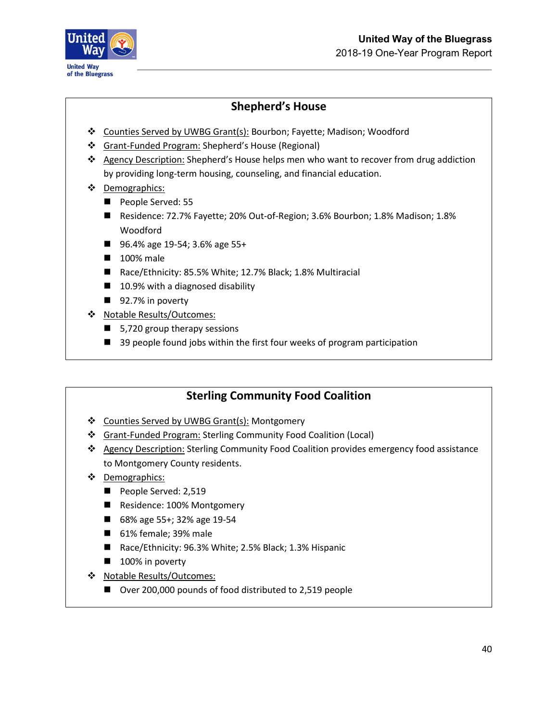

# **Shepherd's House**

- ❖ Counties Served by UWBG Grant(s): Bourbon; Fayette; Madison; Woodford
- ❖ Grant-Funded Program: Shepherd's House (Regional)
- ❖ Agency Description: Shepherd's House helps men who want to recover from drug addiction by providing long-term housing, counseling, and financial education.
- ❖ Demographics:
	- People Served: 55
	- Residence: 72.7% Fayette; 20% Out-of-Region; 3.6% Bourbon; 1.8% Madison; 1.8% Woodford
	- 96.4% age 19-54; 3.6% age 55+
	- 100% male
	- Race/Ethnicity: 85.5% White; 12.7% Black; 1.8% Multiracial
	- 10.9% with a diagnosed disability
	- 92.7% in poverty
- ❖ Notable Results/Outcomes:
	- 5,720 group therapy sessions
	- 39 people found jobs within the first four weeks of program participation

### **Sterling Community Food Coalition**

- ❖ Counties Served by UWBG Grant(s): Montgomery
- ❖ Grant-Funded Program: Sterling Community Food Coalition (Local)
- ❖ Agency Description: Sterling Community Food Coalition provides emergency food assistance to Montgomery County residents.
- ❖ Demographics:
	- People Served: 2,519
	- Residence: 100% Montgomery
	- 68% age 55+; 32% age 19-54
	- 61% female; 39% male
	- Race/Ethnicity: 96.3% White; 2.5% Black; 1.3% Hispanic
	- 100% in poverty
- ❖ Notable Results/Outcomes:
	- Over 200,000 pounds of food distributed to 2,519 people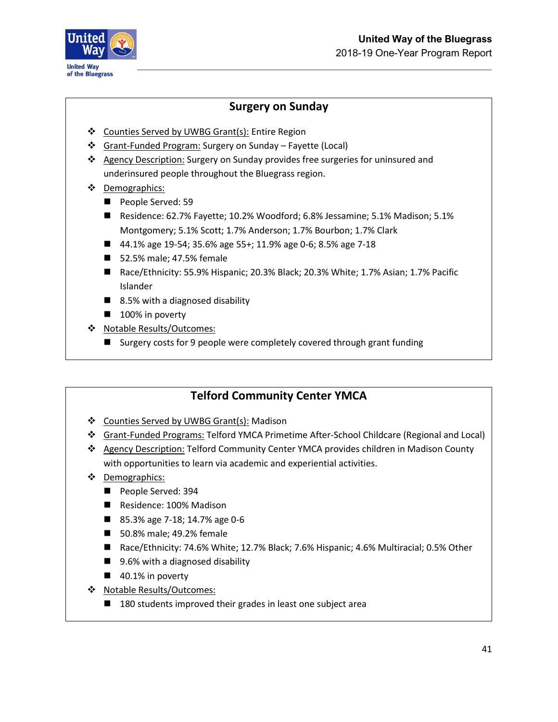

### **Surgery on Sunday**

- ❖ Counties Served by UWBG Grant(s): Entire Region
- ❖ Grant-Funded Program: Surgery on Sunday Fayette (Local)
- ❖ Agency Description: Surgery on Sunday provides free surgeries for uninsured and underinsured people throughout the Bluegrass region.
- ❖ Demographics:
	- People Served: 59
	- Residence: 62.7% Fayette; 10.2% Woodford; 6.8% Jessamine; 5.1% Madison; 5.1% Montgomery; 5.1% Scott; 1.7% Anderson; 1.7% Bourbon; 1.7% Clark
	- 44.1% age 19-54; 35.6% age 55+; 11.9% age 0-6; 8.5% age 7-18
	- 52.5% male; 47.5% female
	- Race/Ethnicity: 55.9% Hispanic; 20.3% Black; 20.3% White; 1.7% Asian; 1.7% Pacific Islander
	- 8.5% with a diagnosed disability
	- 100% in poverty
- ❖ Notable Results/Outcomes:
	- Surgery costs for 9 people were completely covered through grant funding

### **Telford Community Center YMCA**

- ❖ Counties Served by UWBG Grant(s): Madison
- ❖ Grant-Funded Programs: Telford YMCA Primetime After-School Childcare (Regional and Local)
- ❖ Agency Description: Telford Community Center YMCA provides children in Madison County with opportunities to learn via academic and experiential activities.
- ❖ Demographics:
	- People Served: 394
	- Residence: 100% Madison
	- 85.3% age 7-18; 14.7% age 0-6
	- 50.8% male; 49.2% female
	- Race/Ethnicity: 74.6% White; 12.7% Black; 7.6% Hispanic; 4.6% Multiracial; 0.5% Other
	- 9.6% with a diagnosed disability
	- 40.1% in poverty
- ❖ Notable Results/Outcomes:
	- 180 students improved their grades in least one subject area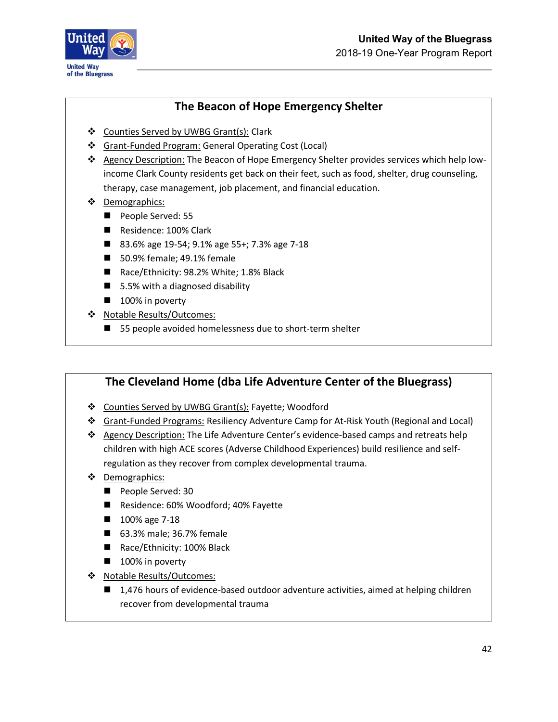



### **The Beacon of Hope Emergency Shelter**

- ❖ Counties Served by UWBG Grant(s): Clark
- ❖ Grant-Funded Program: General Operating Cost (Local)
- ❖ Agency Description: The Beacon of Hope Emergency Shelter provides services which help lowincome Clark County residents get back on their feet, such as food, shelter, drug counseling, therapy, case management, job placement, and financial education.
- ❖ Demographics:
	- People Served: 55
	- Residence: 100% Clark
	- 83.6% age 19-54; 9.1% age 55+; 7.3% age 7-18
	- 50.9% female; 49.1% female
	- Race/Ethnicity: 98.2% White; 1.8% Black
	- 5.5% with a diagnosed disability
	- 100% in poverty
- ❖ Notable Results/Outcomes:
	- 55 people avoided homelessness due to short-term shelter

### **The Cleveland Home (dba Life Adventure Center of the Bluegrass)**

- ❖ Counties Served by UWBG Grant(s): Fayette; Woodford
- ❖ Grant-Funded Programs: Resiliency Adventure Camp for At-Risk Youth (Regional and Local)
- ❖ Agency Description: The Life Adventure Center's evidence-based camps and retreats help children with high ACE scores (Adverse Childhood Experiences) build resilience and selfregulation as they recover from complex developmental trauma.
- ❖ Demographics:
	- People Served: 30
	- Residence: 60% Woodford; 40% Fayette
	- 100% age 7-18
	- 63.3% male; 36.7% female
	- Race/Ethnicity: 100% Black
	- 100% in poverty
- ❖ Notable Results/Outcomes:
	- 1,476 hours of evidence-based outdoor adventure activities, aimed at helping children recover from developmental trauma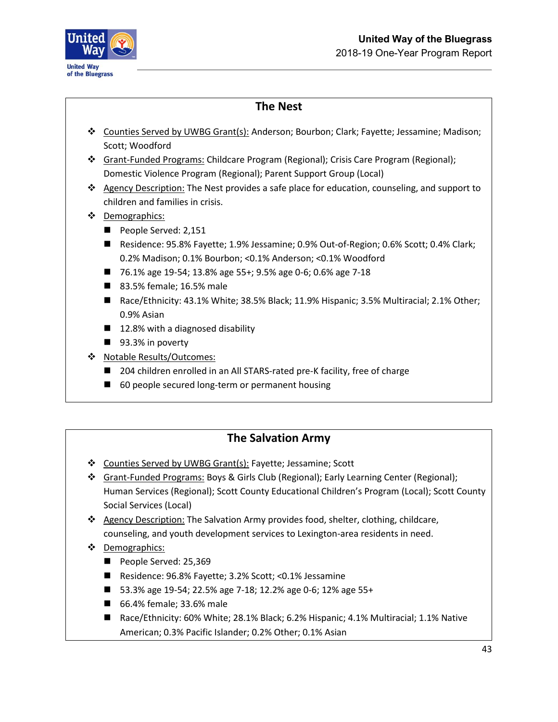

### **The Nest**

- ❖ Counties Served by UWBG Grant(s): Anderson; Bourbon; Clark; Fayette; Jessamine; Madison; Scott; Woodford
- ❖ Grant-Funded Programs: Childcare Program (Regional); Crisis Care Program (Regional); Domestic Violence Program (Regional); Parent Support Group (Local)
- ❖ Agency Description: The Nest provides a safe place for education, counseling, and support to children and families in crisis.
- ❖ Demographics:
	- People Served: 2,151
	- Residence: 95.8% Fayette; 1.9% Jessamine; 0.9% Out-of-Region; 0.6% Scott; 0.4% Clark; 0.2% Madison; 0.1% Bourbon; <0.1% Anderson; <0.1% Woodford
	- 76.1% age 19-54; 13.8% age 55+; 9.5% age 0-6; 0.6% age 7-18
	- 83.5% female; 16.5% male
	- Race/Ethnicity: 43.1% White; 38.5% Black; 11.9% Hispanic; 3.5% Multiracial; 2.1% Other; 0.9% Asian
	- 12.8% with a diagnosed disability
	- 93.3% in poverty
- ❖ Notable Results/Outcomes:
	- 204 children enrolled in an All STARS-rated pre-K facility, free of charge
	- 60 people secured long-term or permanent housing

### **The Salvation Army**

- ❖ Counties Served by UWBG Grant(s): Fayette; Jessamine; Scott
- ❖ Grant-Funded Programs: Boys & Girls Club (Regional); Early Learning Center (Regional); Human Services (Regional); Scott County Educational Children's Program (Local); Scott County Social Services (Local)
- ❖ Agency Description: The Salvation Army provides food, shelter, clothing, childcare, counseling, and youth development services to Lexington-area residents in need.
- ❖ Demographics:
	- People Served: 25,369
	- Residence: 96.8% Fayette; 3.2% Scott; <0.1% Jessamine
	- 53.3% age 19-54; 22.5% age 7-18; 12.2% age 0-6; 12% age 55+
	- 66.4% female; 33.6% male
	- Race/Ethnicity: 60% White; 28.1% Black; 6.2% Hispanic; 4.1% Multiracial; 1.1% Native American; 0.3% Pacific Islander; 0.2% Other; 0.1% Asian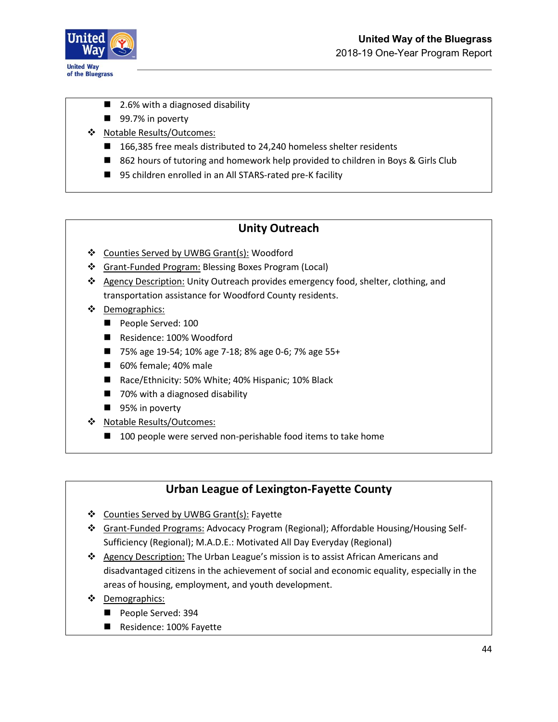

- 2.6% with a diagnosed disability
- 99.7% in poverty
- ❖ Notable Results/Outcomes:
	- 166,385 free meals distributed to 24,240 homeless shelter residents
	- 862 hours of tutoring and homework help provided to children in Boys & Girls Club
	- 95 children enrolled in an All STARS-rated pre-K facility

### **Unity Outreach**

- ❖ Counties Served by UWBG Grant(s): Woodford
- ❖ Grant-Funded Program: Blessing Boxes Program (Local)
- ❖ Agency Description: Unity Outreach provides emergency food, shelter, clothing, and transportation assistance for Woodford County residents.
- ❖ Demographics:
	- People Served: 100
	- Residence: 100% Woodford
	- 75% age 19-54; 10% age 7-18; 8% age 0-6; 7% age 55+
	- 60% female; 40% male
	- Race/Ethnicity: 50% White; 40% Hispanic; 10% Black
	- 70% with a diagnosed disability
	- 95% in poverty
- ❖ Notable Results/Outcomes:
	- 100 people were served non-perishable food items to take home

### **Urban League of Lexington-Fayette County**

- ❖ Counties Served by UWBG Grant(s): Fayette
- ❖ Grant-Funded Programs: Advocacy Program (Regional); Affordable Housing/Housing Self-Sufficiency (Regional); M.A.D.E.: Motivated All Day Everyday (Regional)
- ❖ Agency Description: The Urban League's mission is to assist African Americans and disadvantaged citizens in the achievement of social and economic equality, especially in the areas of housing, employment, and youth development.
- ❖ Demographics:
	- People Served: 394
	- Residence: 100% Fayette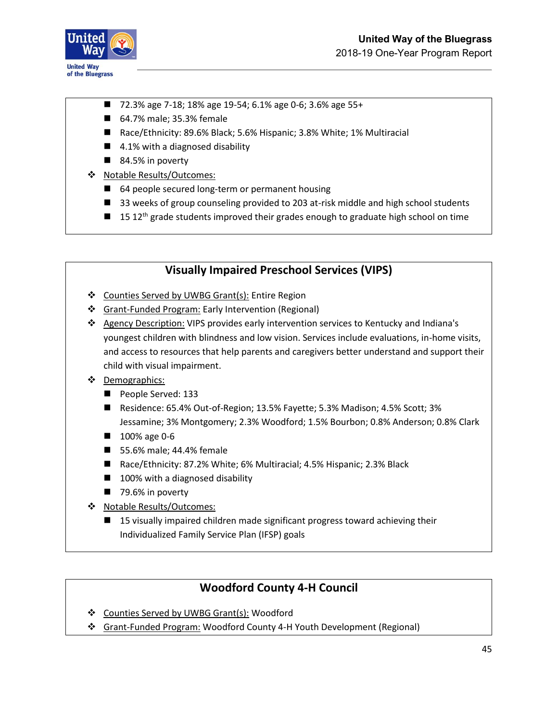

- 72.3% age 7-18; 18% age 19-54; 6.1% age 0-6; 3.6% age 55+
- 64.7% male; 35.3% female
- Race/Ethnicity: 89.6% Black; 5.6% Hispanic; 3.8% White; 1% Multiracial
- 4.1% with a diagnosed disability
- 84.5% in poverty
- ❖ Notable Results/Outcomes:
	- 64 people secured long-term or permanent housing
	- 33 weeks of group counseling provided to 203 at-risk middle and high school students
	- $\blacksquare$  15 12<sup>th</sup> grade students improved their grades enough to graduate high school on time

#### **Visually Impaired Preschool Services (VIPS)**

- ❖ Counties Served by UWBG Grant(s): Entire Region
- ❖ Grant-Funded Program: Early Intervention (Regional)
- ❖ Agency Description: VIPS provides early intervention services to Kentucky and Indiana's youngest children with blindness and low vision. Services include evaluations, in-home visits, and access to resources that help parents and caregivers better understand and support their child with visual impairment.
- ❖ Demographics:
	- People Served: 133
	- Residence: 65.4% Out-of-Region; 13.5% Fayette; 5.3% Madison; 4.5% Scott; 3% Jessamine; 3% Montgomery; 2.3% Woodford; 1.5% Bourbon; 0.8% Anderson; 0.8% Clark
	- 100% age 0-6
	- 55.6% male; 44.4% female
	- Race/Ethnicity: 87.2% White; 6% Multiracial; 4.5% Hispanic; 2.3% Black
	- 100% with a diagnosed disability
	- 79.6% in poverty
- ❖ Notable Results/Outcomes:
	- 15 visually impaired children made significant progress toward achieving their Individualized Family Service Plan (IFSP) goals

#### **Woodford County 4-H Council**

- ❖ Counties Served by UWBG Grant(s): Woodford
- ❖ Grant-Funded Program: Woodford County 4-H Youth Development (Regional)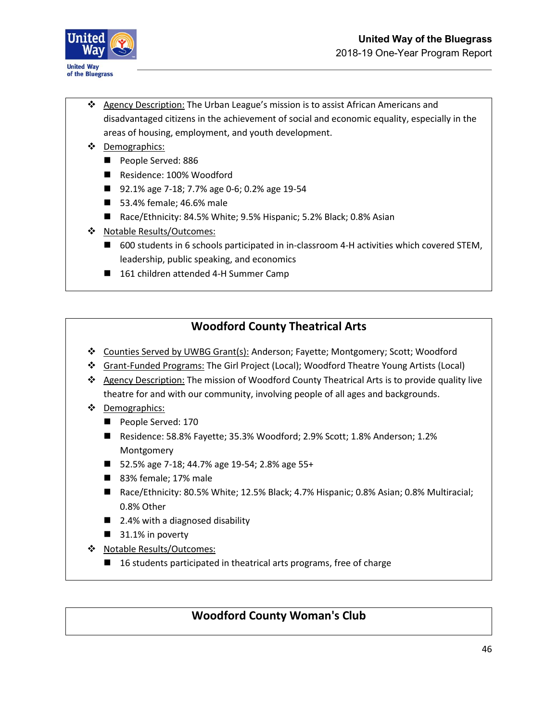

- ❖ Agency Description: The Urban League's mission is to assist African Americans and disadvantaged citizens in the achievement of social and economic equality, especially in the areas of housing, employment, and youth development.
- ❖ Demographics:
	- People Served: 886
	- Residence: 100% Woodford
	- 92.1% age 7-18; 7.7% age 0-6; 0.2% age 19-54
	- 53.4% female; 46.6% male
	- Race/Ethnicity: 84.5% White; 9.5% Hispanic; 5.2% Black; 0.8% Asian
- ❖ Notable Results/Outcomes:
	- 600 students in 6 schools participated in in-classroom 4-H activities which covered STEM, leadership, public speaking, and economics
	- 161 children attended 4-H Summer Camp

### **Woodford County Theatrical Arts**

- ❖ Counties Served by UWBG Grant(s): Anderson; Fayette; Montgomery; Scott; Woodford
- ❖ Grant-Funded Programs: The Girl Project (Local); Woodford Theatre Young Artists (Local)
- ❖ Agency Description: The mission of Woodford County Theatrical Arts is to provide quality live theatre for and with our community, involving people of all ages and backgrounds.
- ❖ Demographics:
	- People Served: 170
	- Residence: 58.8% Fayette; 35.3% Woodford; 2.9% Scott; 1.8% Anderson; 1.2% Montgomery
	- 52.5% age 7-18; 44.7% age 19-54; 2.8% age 55+
	- 83% female; 17% male
	- Race/Ethnicity: 80.5% White; 12.5% Black; 4.7% Hispanic; 0.8% Asian; 0.8% Multiracial; 0.8% Other
	- 2.4% with a diagnosed disability
	- 31.1% in poverty
- ❖ Notable Results/Outcomes:
	- 16 students participated in theatrical arts programs, free of charge

### **Woodford County Woman's Club**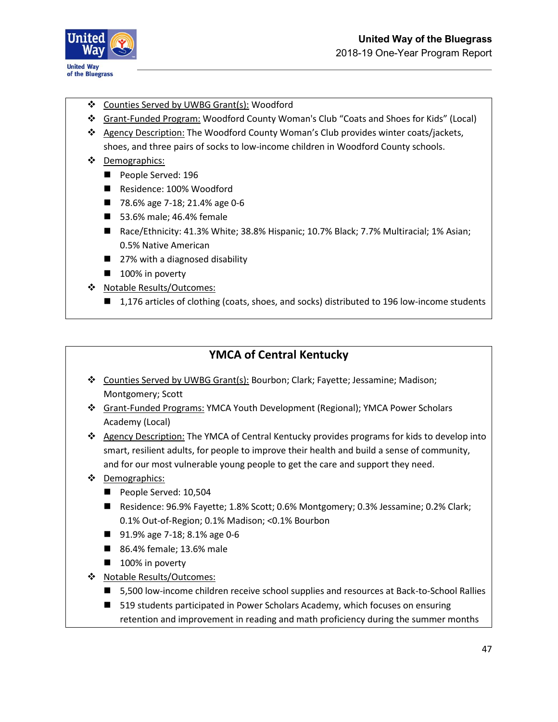

- ❖ Counties Served by UWBG Grant(s): Woodford
- ❖ Grant-Funded Program: Woodford County Woman's Club "Coats and Shoes for Kids" (Local)
- ❖ Agency Description: The Woodford County Woman's Club provides winter coats/jackets, shoes, and three pairs of socks to low-income children in Woodford County schools.
- ❖ Demographics:
	- People Served: 196
	- Residence: 100% Woodford
	- 78.6% age 7-18; 21.4% age 0-6
	- 53.6% male; 46.4% female
	- Race/Ethnicity: 41.3% White; 38.8% Hispanic; 10.7% Black; 7.7% Multiracial; 1% Asian; 0.5% Native American
	- 27% with a diagnosed disability
	- 100% in poverty
- ❖ Notable Results/Outcomes:
	- 1,176 articles of clothing (coats, shoes, and socks) distributed to 196 low-income students

#### **YMCA of Central Kentucky**

- ❖ Counties Served by UWBG Grant(s): Bourbon; Clark; Fayette; Jessamine; Madison; Montgomery; Scott
- ❖ Grant-Funded Programs: YMCA Youth Development (Regional); YMCA Power Scholars Academy (Local)
- ❖ Agency Description: The YMCA of Central Kentucky provides programs for kids to develop into smart, resilient adults, for people to improve their health and build a sense of community, and for our most vulnerable young people to get the care and support they need.
- ❖ Demographics:
	- People Served: 10,504
	- Residence: 96.9% Fayette; 1.8% Scott; 0.6% Montgomery; 0.3% Jessamine; 0.2% Clark; 0.1% Out-of-Region; 0.1% Madison; <0.1% Bourbon
	- 91.9% age 7-18; 8.1% age 0-6
	- 86.4% female; 13.6% male
	- 100% in poverty
- ❖ Notable Results/Outcomes:
	- 5,500 low-income children receive school supplies and resources at Back-to-School Rallies
	- 519 students participated in Power Scholars Academy, which focuses on ensuring retention and improvement in reading and math proficiency during the summer months